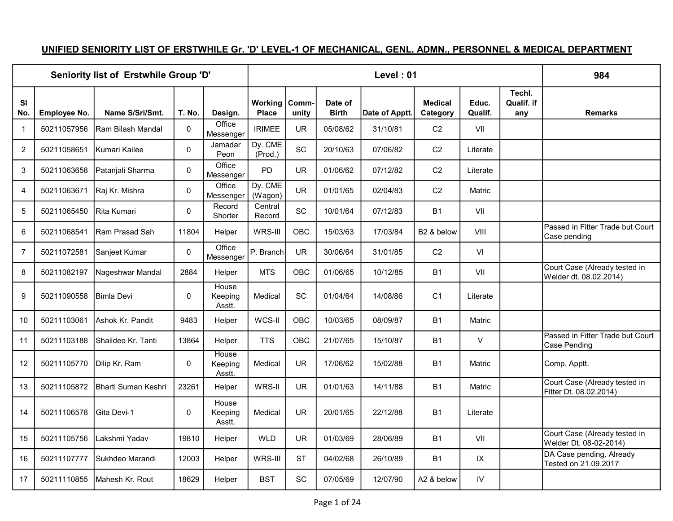## UNIFIED SENIORITY LIST OF ERSTWHILE Gr. 'D' LEVEL-1 OF MECHANICAL, GENL. ADMN., PERSONNEL & MEDICAL DEPARTMENT

|                  |              | Seniority list of Erstwhile Group 'D' |             |                            |                         |                |                         | Level: 01      |                            |                  |                             | 984                                                     |
|------------------|--------------|---------------------------------------|-------------|----------------------------|-------------------------|----------------|-------------------------|----------------|----------------------------|------------------|-----------------------------|---------------------------------------------------------|
| <b>SI</b><br>No. | Employee No. | Name S/Sri/Smt.                       | T. No.      | Design.                    | Working<br><b>Place</b> | Comm-<br>unity | Date of<br><b>Birth</b> | Date of Apptt. | <b>Medical</b><br>Category | Educ.<br>Qualif. | Techl.<br>Qualif. if<br>any | <b>Remarks</b>                                          |
| $\mathbf{1}$     | 50211057956  | lRam Bilash Mandal                    | 0           | Office<br>Messenger        | <b>IRIMEE</b>           | <b>UR</b>      | 05/08/62                | 31/10/81       | C <sub>2</sub>             | VII              |                             |                                                         |
| $\overline{2}$   | 50211058651  | IKumari Kailee                        | $\mathbf 0$ | Jamadar<br>Peon            | Dy. CME<br>(Prod.)      | SC             | 20/10/63                | 07/06/82       | C <sub>2</sub>             | Literate         |                             |                                                         |
| 3                | 50211063658  | Patanjali Sharma                      | 0           | Office<br>Messenger        | <b>PD</b>               | <b>UR</b>      | 01/06/62                | 07/12/82       | C <sub>2</sub>             | Literate         |                             |                                                         |
| 4                | 50211063671  | Raj Kr. Mishra                        | $\mathbf 0$ | Office<br>Messenger        | Dy. CME<br>(Wagon)      | <b>UR</b>      | 01/01/65                | 02/04/83       | C <sub>2</sub>             | Matric           |                             |                                                         |
| 5                | 50211065450  | <b>IRita Kumari</b>                   | 0           | Record<br>Shorter          | Central<br>Record       | SC             | 10/01/64                | 07/12/83       | <b>B1</b>                  | VII              |                             |                                                         |
| 6                | 50211068541  | lRam Prasad Sah                       | 11804       | Helper                     | WRS-III                 | <b>OBC</b>     | 15/03/63                | 17/03/84       | B <sub>2</sub> & below     | VIII             |                             | Passed in Fitter Trade but Court<br>Case pending        |
| $\overline{7}$   | 50211072581  | Sanjeet Kumar                         | $\Omega$    | Office<br>Messenger        | P. Branch               | <b>UR</b>      | 30/06/64                | 31/01/85       | C <sub>2</sub>             | VI               |                             |                                                         |
| 8                | 50211082197  | Nageshwar Mandal                      | 2884        | Helper                     | <b>MTS</b>              | OBC            | 01/06/65                | 10/12/85       | <b>B1</b>                  | VII              |                             | Court Case (Already tested in<br>Welder dt. 08.02.2014) |
| 9                | 50211090558  | <b>Bimla Devi</b>                     | 0           | House<br>Keeping<br>Asstt. | Medical                 | SC             | 01/04/64                | 14/08/86       | C <sub>1</sub>             | Literate         |                             |                                                         |
| 10               | 50211103061  | lAshok Kr. Pandit                     | 9483        | Helper                     | WCS-II                  | OBC            | 10/03/65                | 08/09/87       | <b>B1</b>                  | Matric           |                             |                                                         |
| 11               | 50211103188  | Shaildeo Kr. Tanti                    | 13864       | Helper                     | <b>TTS</b>              | OBC            | 21/07/65                | 15/10/87       | <b>B1</b>                  | $\mathsf{V}$     |                             | Passed in Fitter Trade but Court<br>Case Pending        |
| 12               | 50211105770  | Dilip Kr. Ram                         | 0           | House<br>Keeping<br>Asstt. | Medical                 | <b>UR</b>      | 17/06/62                | 15/02/88       | <b>B1</b>                  | Matric           |                             | Comp. Apptt.                                            |
| 13               | 50211105872  | İBharti Suman Keshri                  | 23261       | Helper                     | WRS-II                  | <b>UR</b>      | 01/01/63                | 14/11/88       | <b>B1</b>                  | Matric           |                             | Court Case (Already tested in<br>Fitter Dt. 08.02.2014) |
| 14               | 50211106578  | Gita Devi-1                           | 0           | House<br>Keeping<br>Asstt. | Medical                 | <b>UR</b>      | 20/01/65                | 22/12/88       | <b>B1</b>                  | Literate         |                             |                                                         |
| 15               | 50211105756  | Lakshmi Yadav                         | 19810       | Helper                     | <b>WLD</b>              | <b>UR</b>      | 01/03/69                | 28/06/89       | <b>B1</b>                  | VII              |                             | Court Case (Already tested in<br>Welder Dt. 08-02-2014) |
| 16               | 50211107777  | Sukhdeo Marandi                       | 12003       | Helper                     | WRS-III                 | <b>ST</b>      | 04/02/68                | 26/10/89       | <b>B1</b>                  | IX               |                             | DA Case pending. Already<br>Tested on 21.09.2017        |
| 17               | 50211110855  | Mahesh Kr. Rout                       | 18629       | Helper                     | <b>BST</b>              | SC             | 07/05/69                | 12/07/90       | A2 & below                 | IV               |                             |                                                         |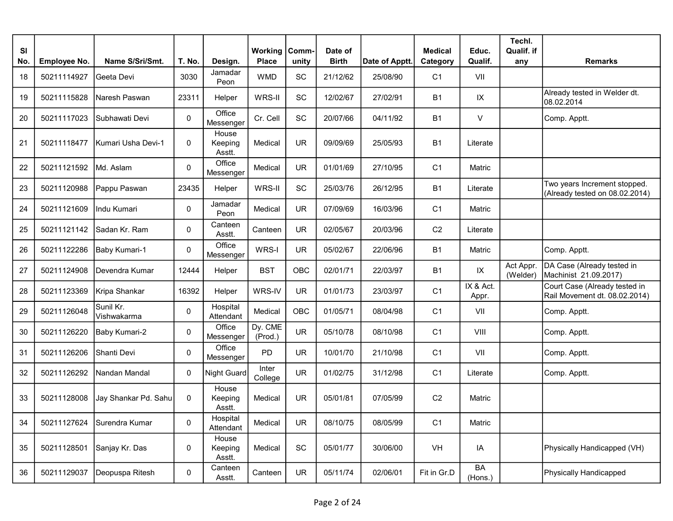| <b>SI</b><br>No. | Employee No. | Name S/Sri/Smt.          | T. No. | Design.                    | <b>Working   Comm-</b><br><b>Place</b> | unity      | Date of<br><b>Birth</b> | Date of Apptt. | <b>Medical</b><br>Category | Educ.<br>Qualif.   | Techl.<br>Qualif. if<br>any | <b>Remarks</b>                                                 |
|------------------|--------------|--------------------------|--------|----------------------------|----------------------------------------|------------|-------------------------|----------------|----------------------------|--------------------|-----------------------------|----------------------------------------------------------------|
| 18               | 50211114927  | Geeta Devi               | 3030   | Jamadar<br>Peon            | <b>WMD</b>                             | SC         | 21/12/62                | 25/08/90       | C <sub>1</sub>             | VII                |                             |                                                                |
| 19               | 50211115828  | Naresh Paswan            | 23311  | Helper                     | WRS-II                                 | <b>SC</b>  | 12/02/67                | 27/02/91       | <b>B1</b>                  | IX                 |                             | Already tested in Welder dt.<br>08.02.2014                     |
| 20               | 50211117023  | Subhawati Devi           | 0      | Office<br>Messenger        | Cr. Cell                               | SC         | 20/07/66                | 04/11/92       | <b>B1</b>                  | $\vee$             |                             | Comp. Apptt.                                                   |
| 21               | 50211118477  | IKumari Usha Devi-1      | 0      | House<br>Keeping<br>Asstt. | Medical                                | <b>UR</b>  | 09/09/69                | 25/05/93       | <b>B1</b>                  | Literate           |                             |                                                                |
| 22               | 50211121592  | Md. Aslam                | 0      | Office<br>Messenger        | Medical                                | <b>UR</b>  | 01/01/69                | 27/10/95       | C <sub>1</sub>             | Matric             |                             |                                                                |
| 23               | 50211120988  | Pappu Paswan             | 23435  | Helper                     | WRS-II                                 | <b>SC</b>  | 25/03/76                | 26/12/95       | B <sub>1</sub>             | Literate           |                             | Two years Increment stopped.<br>(Already tested on 08.02.2014) |
| 24               | 50211121609  | Indu Kumari              | 0      | Jamadar<br>Peon            | Medical                                | <b>UR</b>  | 07/09/69                | 16/03/96       | C <sub>1</sub>             | Matric             |                             |                                                                |
| 25               | 50211121142  | Sadan Kr. Ram            | 0      | Canteen<br>Asstt.          | Canteen                                | <b>UR</b>  | 02/05/67                | 20/03/96       | C <sub>2</sub>             | Literate           |                             |                                                                |
| 26               | 50211122286  | Baby Kumari-1            | 0      | Office<br>Messenger        | WRS-I                                  | <b>UR</b>  | 05/02/67                | 22/06/96       | <b>B1</b>                  | Matric             |                             | Comp. Apptt.                                                   |
| 27               | 50211124908  | Devendra Kumar           | 12444  | Helper                     | <b>BST</b>                             | OBC        | 02/01/71                | 22/03/97       | B <sub>1</sub>             | IX                 | Act Appr.<br>(Welder)       | DA Case (Already tested in<br>Machinist 21.09.2017)            |
| 28               | 50211123369  | Kripa Shankar            | 16392  | Helper                     | WRS-IV                                 | <b>UR</b>  | 01/01/73                | 23/03/97       | C <sub>1</sub>             | IX & Act.<br>Appr. |                             | Court Case (Already tested in<br>Rail Movement dt. 08.02.2014) |
| 29               | 50211126048  | Sunil Kr.<br>Vishwakarma | 0      | Hospital<br>Attendant      | Medical                                | <b>OBC</b> | 01/05/71                | 08/04/98       | C <sub>1</sub>             | VII                |                             | Comp. Apptt.                                                   |
| 30               | 50211126220  | Baby Kumari-2            | 0      | Office<br>Messenger        | Dy. CME<br>(Prod.)                     | <b>UR</b>  | 05/10/78                | 08/10/98       | C <sub>1</sub>             | VIII               |                             | Comp. Apptt.                                                   |
| 31               | 50211126206  | Shanti Devi              | 0      | Office<br>Messenger        | <b>PD</b>                              | <b>UR</b>  | 10/01/70                | 21/10/98       | C <sub>1</sub>             | VII                |                             | Comp. Apptt.                                                   |
| 32               | 50211126292  | Nandan Mandal            | 0      | Night Guard                | Inter<br>College                       | <b>UR</b>  | 01/02/75                | 31/12/98       | C <sub>1</sub>             | Literate           |                             | Comp. Apptt.                                                   |
| 33               | 50211128008  | Jay Shankar Pd. Sahu     | 0      | House<br>Keeping<br>Asstt. | Medical                                | <b>UR</b>  | 05/01/81                | 07/05/99       | C <sub>2</sub>             | Matric             |                             |                                                                |
| 34               | 50211127624  | Surendra Kumar           | 0      | Hospital<br>Attendant      | Medical                                | <b>UR</b>  | 08/10/75                | 08/05/99       | C <sub>1</sub>             | Matric             |                             |                                                                |
| 35               | 50211128501  | Sanjay Kr. Das           | 0      | House<br>Keeping<br>Asstt. | Medical                                | SC         | 05/01/77                | 30/06/00       | VH                         | IA                 |                             | Physically Handicapped (VH)                                    |
| 36               | 50211129037  | Deopuspa Ritesh          | 0      | Canteen<br>Asstt.          | Canteen                                | <b>UR</b>  | 05/11/74                | 02/06/01       | Fit in Gr.D                | BA<br>(Hons.)      |                             | Physically Handicapped                                         |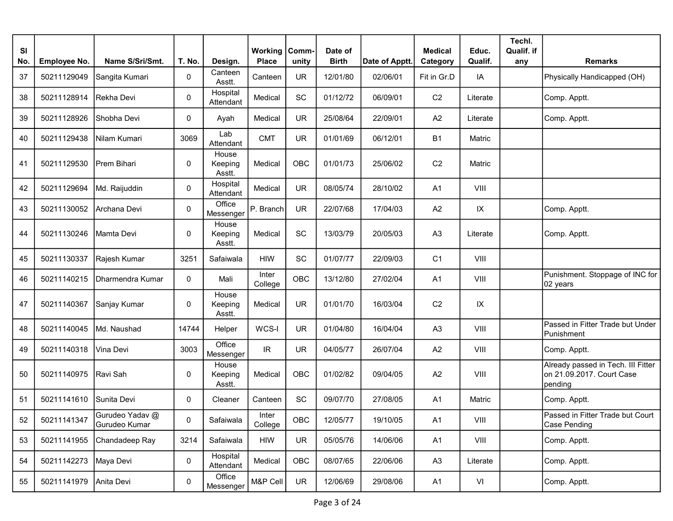| <b>SI</b><br>No. | <b>Employee No.</b> | Name S/Sri/Smt.                  | T. No.      | Design.                    | <b>Working   Comm-</b><br><b>Place</b> | unity     | Date of<br><b>Birth</b> | Date of Apptt. | <b>Medical</b><br>Category | Educ.<br>Qualif. | Techl.<br>Qualif. if<br>any | <b>Remarks</b>                                                             |
|------------------|---------------------|----------------------------------|-------------|----------------------------|----------------------------------------|-----------|-------------------------|----------------|----------------------------|------------------|-----------------------------|----------------------------------------------------------------------------|
| 37               | 50211129049         | Sangita Kumari                   | 0           | Canteen<br>Asstt.          | Canteen                                | <b>UR</b> | 12/01/80                | 02/06/01       | Fit in Gr.D                | IA               |                             | Physically Handicapped (OH)                                                |
| 38               | 50211128914         | Rekha Devi                       | 0           | Hospital<br>Attendant      | Medical                                | SC        | 01/12/72                | 06/09/01       | C <sub>2</sub>             | Literate         |                             | Comp. Apptt.                                                               |
| 39               | 50211128926         | Shobha Devi                      | $\mathbf 0$ | Ayah                       | Medical                                | <b>UR</b> | 25/08/64                | 22/09/01       | A2                         | Literate         |                             | Comp. Apptt.                                                               |
| 40               | 50211129438         | Nilam Kumari                     | 3069        | Lab<br>Attendant           | <b>CMT</b>                             | <b>UR</b> | 01/01/69                | 06/12/01       | <b>B1</b>                  | Matric           |                             |                                                                            |
| 41               | 50211129530         | Prem Bihari                      | 0           | House<br>Keeping<br>Asstt. | Medical                                | OBC       | 01/01/73                | 25/06/02       | C <sub>2</sub>             | Matric           |                             |                                                                            |
| 42               | 50211129694         | Md. Raijuddin                    | $\mathbf 0$ | Hospital<br>Attendant      | Medical                                | <b>UR</b> | 08/05/74                | 28/10/02       | A <sub>1</sub>             | VIII             |                             |                                                                            |
| 43               | 50211130052         | Archana Devi                     | 0           | Office<br>Messenger        | P. Branch                              | <b>UR</b> | 22/07/68                | 17/04/03       | A <sub>2</sub>             | IX               |                             | Comp. Apptt.                                                               |
| 44               | 50211130246         | Mamta Devil                      | 0           | House<br>Keeping<br>Asstt. | Medical                                | SC        | 13/03/79                | 20/05/03       | A <sub>3</sub>             | Literate         |                             | Comp. Apptt.                                                               |
| 45               | 50211130337         | Rajesh Kumar                     | 3251        | Safaiwala                  | <b>HIW</b>                             | SC        | 01/07/77                | 22/09/03       | C <sub>1</sub>             | VIII             |                             |                                                                            |
| 46               | 50211140215         | Dharmendra Kumar                 | 0           | Mali                       | Inter<br>College                       | OBC       | 13/12/80                | 27/02/04       | A <sub>1</sub>             | VIII             |                             | Punishment. Stoppage of INC for<br>02 years                                |
| 47               | 50211140367         | Sanjay Kumar                     | 0           | House<br>Keeping<br>Asstt. | Medical                                | <b>UR</b> | 01/01/70                | 16/03/04       | C <sub>2</sub>             | IX               |                             |                                                                            |
| 48               | 50211140045         | Md. Naushad                      | 14744       | Helper                     | WCS-I                                  | <b>UR</b> | 01/04/80                | 16/04/04       | A <sub>3</sub>             | VIII             |                             | Passed in Fitter Trade but Under<br>Punishment                             |
| 49               | 50211140318         | Vina Devi                        | 3003        | Office<br>Messenger        | IR.                                    | <b>UR</b> | 04/05/77                | 26/07/04       | A2                         | VIII             |                             | Comp. Apptt.                                                               |
| 50               | 50211140975         | Ravi Sah                         | 0           | House<br>Keeping<br>Asstt. | Medical                                | OBC       | 01/02/82                | 09/04/05       | A2                         | VIII             |                             | Already passed in Tech. III Fitter<br>on 21.09.2017. Court Case<br>pending |
| 51               | 50211141610         | Sunita Devi                      | 0           | Cleaner                    | Canteen                                | SC        | 09/07/70                | 27/08/05       | A1                         | Matric           |                             | Comp. Apptt.                                                               |
| 52               | 50211141347         | Gurudeo Yadav @<br>Gurudeo Kumar | 0           | Safaiwala                  | Inter<br>College                       | OBC       | 12/05/77                | 19/10/05       | A1                         | VIII             |                             | Passed in Fitter Trade but Court<br>Case Pending                           |
| 53               | 50211141955         | Chandadeep Ray                   | 3214        | Safaiwala                  | HIW                                    | UR        | 05/05/76                | 14/06/06       | A <sub>1</sub>             | VIII             |                             | Comp. Apptt.                                                               |
| 54               | 50211142273         | Maya Devi                        | 0           | Hospital<br>Attendant      | Medical                                | OBC       | 08/07/65                | 22/06/06       | A <sub>3</sub>             | Literate         |                             | Comp. Apptt.                                                               |
| 55               | 50211141979         | Anita Devi                       | 0           | Office<br>Messenger        | M&P Cell                               | <b>UR</b> | 12/06/69                | 29/08/06       | A <sub>1</sub>             | VI               |                             | Comp. Apptt.                                                               |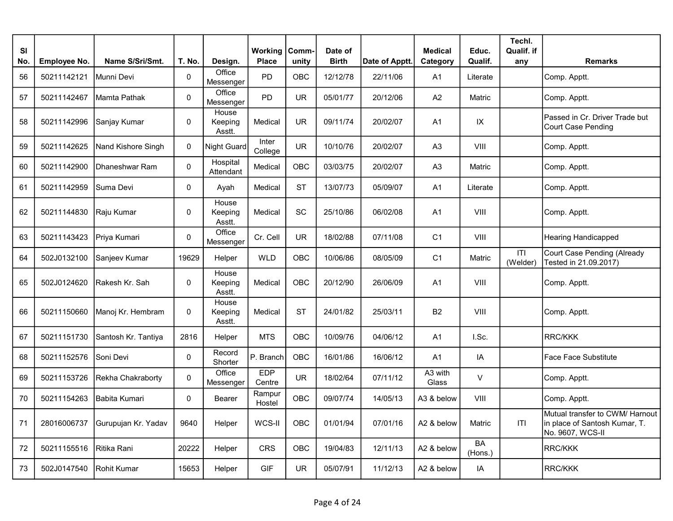| <b>SI</b><br>No. | <b>Employee No.</b> | Name S/Sri/Smt.     | T. No.       | Design.                    | Working<br><b>Place</b> | Comm-<br>unity | Date of<br><b>Birth</b> | Date of Apptt. | <b>Medical</b><br>Category | Educ.<br>Qualif.     | Techl.<br>Qualif. if<br>any | <b>Remarks</b>                                                                       |
|------------------|---------------------|---------------------|--------------|----------------------------|-------------------------|----------------|-------------------------|----------------|----------------------------|----------------------|-----------------------------|--------------------------------------------------------------------------------------|
| 56               | 50211142121         | Munni Devi          | $\pmb{0}$    | Office<br>Messenger        | <b>PD</b>               | OBC            | 12/12/78                | 22/11/06       | A <sub>1</sub>             | Literate             |                             | Comp. Apptt.                                                                         |
| 57               | 50211142467         | Mamta Pathak        | $\pmb{0}$    | Office<br>Messenger        | PD                      | <b>UR</b>      | 05/01/77                | 20/12/06       | A2                         | Matric               |                             | Comp. Apptt.                                                                         |
| 58               | 50211142996         | Sanjay Kumar        | $\mathbf 0$  | House<br>Keeping<br>Asstt. | Medical                 | <b>UR</b>      | 09/11/74                | 20/02/07       | A <sub>1</sub>             | $\sf IX$             |                             | Passed in Cr. Driver Trade but<br>Court Case Pending                                 |
| 59               | 50211142625         | Nand Kishore Singh  | $\mathbf 0$  | <b>Night Guard</b>         | Inter<br>College        | <b>UR</b>      | 10/10/76                | 20/02/07       | A <sub>3</sub>             | VIII                 |                             | Comp. Apptt.                                                                         |
| 60               | 50211142900         | Dhaneshwar Ram      | $\pmb{0}$    | Hospital<br>Attendant      | Medical                 | <b>OBC</b>     | 03/03/75                | 20/02/07       | A <sub>3</sub>             | Matric               |                             | Comp. Apptt.                                                                         |
| 61               | 50211142959         | Suma Devi           | $\pmb{0}$    | Ayah                       | Medical                 | <b>ST</b>      | 13/07/73                | 05/09/07       | A1                         | Literate             |                             | Comp. Apptt.                                                                         |
| 62               | 50211144830         | Raju Kumar          | $\mathbf{0}$ | House<br>Keeping<br>Asstt. | Medical                 | SC             | 25/10/86                | 06/02/08       | A <sub>1</sub>             | VIII                 |                             | Comp. Apptt.                                                                         |
| 63               | 50211143423         | Priya Kumari        | 0            | Office<br>Messenger        | Cr. Cell                | <b>UR</b>      | 18/02/88                | 07/11/08       | C <sub>1</sub>             | VIII                 |                             | <b>Hearing Handicapped</b>                                                           |
| 64               | 502J0132100         | Sanjeev Kumar       | 19629        | Helper                     | <b>WLD</b>              | <b>OBC</b>     | 10/06/86                | 08/05/09       | C <sub>1</sub>             | Matric               | T <br>(Welder)              | Court Case Pending (Already<br>Tested in 21.09.2017)                                 |
| 65               | 502J0124620         | lRakesh Kr. Sah     | 0            | House<br>Keeping<br>Asstt. | Medical                 | <b>OBC</b>     | 20/12/90                | 26/06/09       | A1                         | VIII                 |                             | Comp. Apptt.                                                                         |
| 66               | 50211150660         | Manoj Kr. Hembram   | $\mathbf 0$  | House<br>Keeping<br>Asstt. | Medical                 | <b>ST</b>      | 24/01/82                | 25/03/11       | <b>B2</b>                  | VIII                 |                             | Comp. Apptt.                                                                         |
| 67               | 50211151730         | Santosh Kr. Tantiya | 2816         | Helper                     | <b>MTS</b>              | OBC            | 10/09/76                | 04/06/12       | A <sub>1</sub>             | I.Sc.                |                             | <b>RRC/KKK</b>                                                                       |
| 68               | 50211152576         | Soni Devi           | $\mathbf 0$  | Record<br>Shorter          | P. Branch               | OBC            | 16/01/86                | 16/06/12       | A <sub>1</sub>             | IA                   |                             | <b>Face Face Substitute</b>                                                          |
| 69               | 50211153726         | Rekha Chakraborty   | $\pmb{0}$    | Office<br>Messenger        | <b>EDP</b><br>Centre    | <b>UR</b>      | 18/02/64                | 07/11/12       | A3 with<br><b>Glass</b>    | V                    |                             | Comp. Apptt.                                                                         |
| 70               | 50211154263         | Babita Kumari       | $\mathbf{0}$ | <b>Bearer</b>              | Rampur<br>Hostel        | OBC            | 09/07/74                | 14/05/13       | A3 & below                 | VIII                 |                             | Comp. Apptt.                                                                         |
| 71               | 28016006737         | Gurupujan Kr. Yadav | 9640         | Helper                     | WCS-II                  | OBC            | 01/01/94                | 07/01/16       | A2 & below                 | Matric               | ITI                         | Mutual transfer to CWM/ Harnout<br>in place of Santosh Kumar, T.<br>No. 9607, WCS-II |
| 72               | 50211155516         | Ritika Rani         | 20222        | Helper                     | <b>CRS</b>              | <b>OBC</b>     | 19/04/83                | 12/11/13       | A2 & below                 | <b>BA</b><br>(Hons.) |                             | <b>RRC/KKK</b>                                                                       |
| 73               | 502J0147540         | Rohit Kumar         | 15653        | Helper                     | <b>GIF</b>              | <b>UR</b>      | 05/07/91                | 11/12/13       | A2 & below                 | IA                   |                             | <b>RRC/KKK</b>                                                                       |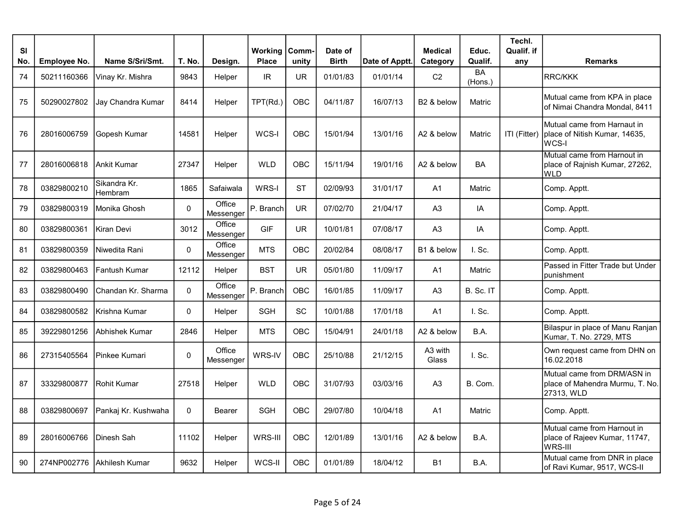| <b>SI</b><br>No. | <b>Employee No.</b> | Name S/Sri/Smt.         | T. No.       | Design.             | Working<br><b>Place</b> | Comm-<br>unity | Date of<br><b>Birth</b> | Date of Apptt. | <b>Medical</b><br>Category | Educ.<br>Qualif.     | Techl.<br>Qualif. if<br>any | <b>Remarks</b>                                                                        |
|------------------|---------------------|-------------------------|--------------|---------------------|-------------------------|----------------|-------------------------|----------------|----------------------------|----------------------|-----------------------------|---------------------------------------------------------------------------------------|
| 74               | 50211160366         | Vinay Kr. Mishra        | 9843         | Helper              | IR                      | <b>UR</b>      | 01/01/83                | 01/01/14       | C <sub>2</sub>             | <b>BA</b><br>(Hons.) |                             | <b>RRC/KKK</b>                                                                        |
| 75               | 50290027802         | Jay Chandra Kumar       | 8414         | Helper              | TPT(Rd.)                | <b>OBC</b>     | 04/11/87                | 16/07/13       | B2 & below                 | Matric               |                             | Mutual came from KPA in place<br>of Nimai Chandra Mondal, 8411                        |
| 76               | 28016006759         | Gopesh Kumar            | 14581        | Helper              | WCS-I                   | <b>OBC</b>     | 15/01/94                | 13/01/16       | A2 & below                 | Matric               |                             | IMutual came from Harnaut in<br>ITI (Fitter)   place of Nitish Kumar, 14635,<br>WCS-I |
| 77               | 28016006818         | Ankit Kumar             | 27347        | Helper              | <b>WLD</b>              | <b>OBC</b>     | 15/11/94                | 19/01/16       | A2 & below                 | <b>BA</b>            |                             | Mutual came from Harnout in<br>place of Rajnish Kumar, 27262,<br><b>WLD</b>           |
| 78               | 03829800210         | Sikandra Kr.<br>Hembram | 1865         | Safaiwala           | WRS-I                   | <b>ST</b>      | 02/09/93                | 31/01/17       | A <sub>1</sub>             | Matric               |                             | Comp. Apptt.                                                                          |
| 79               | 03829800319         | Monika Ghosh            | $\pmb{0}$    | Office<br>Messenger | P. Branch               | <b>UR</b>      | 07/02/70                | 21/04/17       | A3                         | IA                   |                             | Comp. Apptt.                                                                          |
| 80               | 03829800361         | Kiran Devi              | 3012         | Office<br>Messenger | <b>GIF</b>              | <b>UR</b>      | 10/01/81                | 07/08/17       | A <sub>3</sub>             | IA                   |                             | Comp. Apptt.                                                                          |
| 81               | 03829800359         | Niwedita Rani           | $\pmb{0}$    | Office<br>Messenger | <b>MTS</b>              | OBC            | 20/02/84                | 08/08/17       | B1 & below                 | $I.$ Sc.             |                             | Comp. Apptt.                                                                          |
| 82               | 03829800463         | <b>Fantush Kumar</b>    | 12112        | Helper              | <b>BST</b>              | <b>UR</b>      | 05/01/80                | 11/09/17       | A1                         | Matric               |                             | Passed in Fitter Trade but Under<br>punishment                                        |
| 83               | 03829800490         | Chandan Kr. Sharma      | $\pmb{0}$    | Office<br>Messenger | P. Branch               | OBC            | 16/01/85                | 11/09/17       | A <sub>3</sub>             | B. Sc. IT            |                             | Comp. Apptt.                                                                          |
| 84               | 03829800582         | IKrishna Kumar          | $\mathbf 0$  | Helper              | <b>SGH</b>              | SC             | 10/01/88                | 17/01/18       | A1                         | $I.$ Sc.             |                             | Comp. Apptt.                                                                          |
| 85               | 39229801256         | Abhishek Kumar          | 2846         | Helper              | <b>MTS</b>              | OBC            | 15/04/91                | 24/01/18       | A2 & below                 | B.A.                 |                             | Bilaspur in place of Manu Ranjan<br>Kumar, T. No. 2729, MTS                           |
| 86               | 27315405564         | Pinkee Kumari           | $\pmb{0}$    | Office<br>Messenger | WRS-IV                  | OBC            | 25/10/88                | 21/12/15       | A3 with<br>Glass           | I. Sc.               |                             | Own request came from DHN on<br>16.02.2018                                            |
| 87               | 33329800877         | <b>Rohit Kumar</b>      | 27518        | Helper              | <b>WLD</b>              | OBC            | 31/07/93                | 03/03/16       | A <sub>3</sub>             | B. Com.              |                             | Mutual came from DRM/ASN in<br>place of Mahendra Murmu, T. No.<br>27313, WLD          |
| 88               | 03829800697         | Pankaj Kr. Kushwaha     | $\mathbf{0}$ | <b>Bearer</b>       | <b>SGH</b>              | <b>OBC</b>     | 29/07/80                | 10/04/18       | A <sub>1</sub>             | Matric               |                             | Comp. Apptt.                                                                          |
| 89               | 28016006766         | Dinesh Sah              | 11102        | Helper              | WRS-III                 | OBC            | 12/01/89                | 13/01/16       | A2 & below                 | B.A.                 |                             | Mutual came from Harnout in<br>place of Rajeev Kumar, 11747,<br>WRS-III               |
| 90               | 274NP002776         | IAkhilesh Kumar         | 9632         | Helper              | WCS-II                  | <b>OBC</b>     | 01/01/89                | 18/04/12       | <b>B1</b>                  | B.A.                 |                             | Mutual came from DNR in place<br>of Ravi Kumar, 9517, WCS-II                          |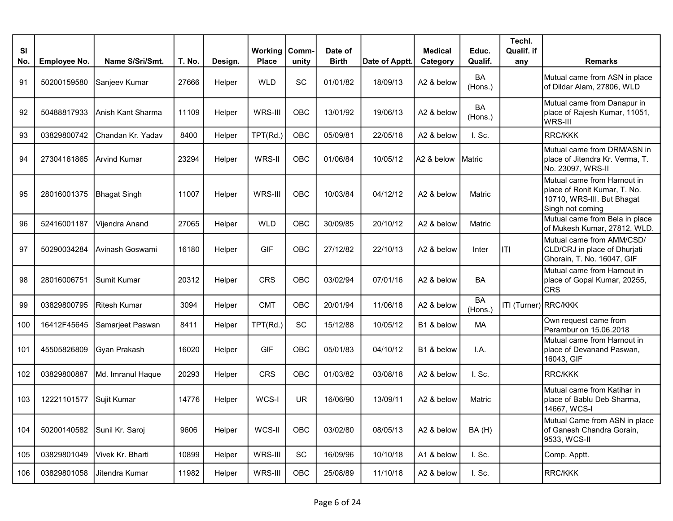| <b>SI</b> |                     |                     |        |         | <b>Working</b> | Comm-                        | Date of      |                | <b>Medical</b> | Educ.                | Techl.<br>Qualif. if |                                                                                                               |
|-----------|---------------------|---------------------|--------|---------|----------------|------------------------------|--------------|----------------|----------------|----------------------|----------------------|---------------------------------------------------------------------------------------------------------------|
| No.       | <b>Employee No.</b> | Name S/Sri/Smt.     | T. No. | Design. | <b>Place</b>   | unity                        | <b>Birth</b> | Date of Apptt. | Category       | Qualif.              | any                  | <b>Remarks</b>                                                                                                |
| 91        | 50200159580         | Sanjeev Kumar       | 27666  | Helper  | <b>WLD</b>     | SC                           | 01/01/82     | 18/09/13       | A2 & below     | <b>BA</b><br>(Hons.) |                      | Mutual came from ASN in place<br>of Dildar Alam, 27806, WLD                                                   |
| 92        | 50488817933         | lAnish Kant Sharma  | 11109  | Helper  | WRS-III        | OBC                          | 13/01/92     | 19/06/13       | A2 & below     | <b>BA</b><br>(Hons.) |                      | Mutual came from Danapur in<br>place of Rajesh Kumar, 11051,<br>WRS-III                                       |
| 93        | 03829800742         | Chandan Kr. Yadav   | 8400   | Helper  | TPT(Rd.)       | <b>OBC</b>                   | 05/09/81     | 22/05/18       | A2 & below     | I. Sc.               |                      | RRC/KKK                                                                                                       |
| 94        | 27304161865         | Arvind Kumar        | 23294  | Helper  | WRS-II         | OBC                          | 01/06/84     | 10/05/12       | A2 & below     | Matric               |                      | Mutual came from DRM/ASN in<br>place of Jitendra Kr. Verma, T.<br>No. 23097, WRS-II                           |
| 95        | 28016001375         | <b>Bhagat Singh</b> | 11007  | Helper  | WRS-III        | OBC                          | 10/03/84     | 04/12/12       | A2 & below     | Matric               |                      | Mutual came from Harnout in<br>place of Ronit Kumar, T. No.<br>10710, WRS-III. But Bhagat<br>Singh not coming |
| 96        | 52416001187         | Vijendra Anand      | 27065  | Helper  | <b>WLD</b>     | <b>OBC</b>                   | 30/09/85     | 20/10/12       | A2 & below     | Matric               |                      | Mutual came from Bela in place<br>of Mukesh Kumar, 27812, WLD.                                                |
| 97        | 50290034284         | Avinash Goswami     | 16180  | Helper  | <b>GIF</b>     | OBC                          | 27/12/82     | 22/10/13       | A2 & below     | Inter                | liti                 | Mutual came from AMM/CSD/<br>CLD/CRJ in place of Dhurjati<br>Ghorain, T. No. 16047, GIF                       |
| 98        | 28016006751         | Sumit Kumar         | 20312  | Helper  | <b>CRS</b>     | OBC                          | 03/02/94     | 07/01/16       | A2 & below     | <b>BA</b>            |                      | Mutual came from Harnout in<br>place of Gopal Kumar, 20255,<br><b>CRS</b>                                     |
| 99        | 03829800795         | Ritesh Kumar        | 3094   | Helper  | <b>CMT</b>     | <b>OBC</b>                   | 20/01/94     | 11/06/18       | A2 & below     | <b>BA</b><br>(Hons.) | ITI (Turner) RRC/KKK |                                                                                                               |
| 100       | 16412F45645         | Samarjeet Paswan    | 8411   | Helper  | TPT(Rd.)       | SC                           | 15/12/88     | 10/05/12       | B1 & below     | <b>MA</b>            |                      | Own request came from<br>Perambur on 15.06.2018                                                               |
| 101       | 45505826809         | Gyan Prakash        | 16020  | Helper  | <b>GIF</b>     | <b>OBC</b>                   | 05/01/83     | 04/10/12       | B1 & below     | I.A.                 |                      | Mutual came from Harnout in<br>place of Devanand Paswan,<br>16043, GIF                                        |
| 102       | 03829800887         | Md. Imranul Haque   | 20293  | Helper  | <b>CRS</b>     | <b>OBC</b>                   | 01/03/82     | 03/08/18       | A2 & below     | I. Sc.               |                      | <b>RRC/KKK</b>                                                                                                |
| 103       | 12221101577         | Sujit Kumar         | 14776  | Helper  | WCS-I          | <b>UR</b>                    | 16/06/90     | 13/09/11       | A2 & below     | Matric               |                      | Mutual came from Katihar in<br>place of Bablu Deb Sharma,<br>14667, WCS-I                                     |
| 104       | 50200140582         | Sunil Kr. Saroj     | 9606   | Helper  | WCS-II         | OBC                          | 03/02/80     | 08/05/13       | A2 & below     | BA(H)                |                      | Mutual Came from ASN in place<br>of Ganesh Chandra Gorain,<br>9533, WCS-II                                    |
| 105       | 03829801049         | Vivek Kr. Bharti    | 10899  | Helper  | WRS-III        | $\operatorname{\textsf{SC}}$ | 16/09/96     | 10/10/18       | A1 & below     | I. Sc.               |                      | Comp. Apptt.                                                                                                  |
| 106       | 03829801058         | Jitendra Kumar      | 11982  | Helper  | WRS-III        | OBC                          | 25/08/89     | 11/10/18       | A2 & below     | I. Sc.               |                      | <b>RRC/KKK</b>                                                                                                |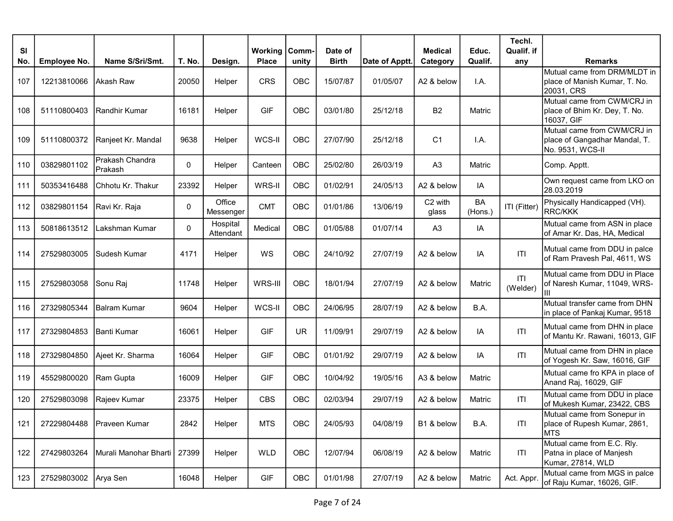| <b>SI</b> |                     |                             |             |                       | Working      | Comm-      | Date of      |                | <b>Medical</b>   | Educ.         | Techl.<br>Qualif. if |                                                                                  |
|-----------|---------------------|-----------------------------|-------------|-----------------------|--------------|------------|--------------|----------------|------------------|---------------|----------------------|----------------------------------------------------------------------------------|
| No.       | <b>Employee No.</b> | Name S/Sri/Smt.             | T. No.      | Design.               | <b>Place</b> | unity      | <b>Birth</b> | Date of Apptt. | Category         | Qualif.       | any                  | Remarks                                                                          |
| 107       | 12213810066         | Akash Raw                   | 20050       | Helper                | <b>CRS</b>   | OBC        | 15/07/87     | 01/05/07       | A2 & below       | I.A.          |                      | Mutual came from DRM/MLDT in<br>place of Manish Kumar, T. No.<br>20031, CRS      |
| 108       | 51110800403         | Randhir Kumar               | 16181       | Helper                | <b>GIF</b>   | OBC        | 03/01/80     | 25/12/18       | B <sub>2</sub>   | Matric        |                      | Mutual came from CWM/CRJ in<br>place of Bhim Kr. Dey, T. No.<br>16037, GIF       |
| 109       | 51110800372         | Ranjeet Kr. Mandal          | 9638        | Helper                | WCS-II       | OBC        | 27/07/90     | 25/12/18       | C <sub>1</sub>   | I.A.          |                      | Mutual came from CWM/CRJ in<br>place of Gangadhar Mandal, T.<br>No. 9531, WCS-II |
| 110       | 03829801102         | lPrakash Chandra<br>Prakash | 0           | Helper                | Canteen      | OBC        | 25/02/80     | 26/03/19       | A <sub>3</sub>   | Matric        |                      | Comp. Apptt.                                                                     |
| 111       | 50353416488         | IChhotu Kr. Thakur          | 23392       | Helper                | WRS-II       | <b>OBC</b> | 01/02/91     | 24/05/13       | A2 & below       | IA            |                      | Own request came from LKO on<br>28.03.2019                                       |
| 112       | 03829801154         | Ravi Kr. Raja               | $\mathbf 0$ | Office<br>Messenger   | <b>CMT</b>   | OBC        | 01/01/86     | 13/06/19       | C2 with<br>glass | BA<br>(Hons.) | ITI (Fitter)         | Physically Handicapped (VH).<br><b>RRC/KKK</b>                                   |
| 113       | 50818613512         | Lakshman Kumar              | $\mathbf 0$ | Hospital<br>Attendant | Medical      | OBC        | 01/05/88     | 01/07/14       | A <sub>3</sub>   | IA            |                      | Mutual came from ASN in place<br>of Amar Kr. Das, HA, Medical                    |
| 114       | 27529803005         | Sudesh Kumar                | 4171        | Helper                | WS           | OBC        | 24/10/92     | 27/07/19       | A2 & below       | IA            | T                    | Mutual came from DDU in palce<br>of Ram Pravesh Pal, 4611, WS                    |
| 115       | 27529803058         | Sonu Raj                    | 11748       | Helper                | WRS-III      | OBC        | 18/01/94     | 27/07/19       | A2 & below       | Matric        | T <br>(Welder)       | Mutual came from DDU in Place<br>of Naresh Kumar, 11049, WRS-<br>Ш               |
| 116       | 27329805344         | <b>Balram Kumar</b>         | 9604        | Helper                | WCS-II       | <b>OBC</b> | 24/06/95     | 28/07/19       | A2 & below       | B.A.          |                      | Mutual transfer came from DHN<br>in place of Pankaj Kumar, 9518                  |
| 117       | 27329804853         | Banti Kumar                 | 16061       | Helper                | <b>GIF</b>   | <b>UR</b>  | 11/09/91     | 29/07/19       | A2 & below       | IA            | T                    | Mutual came from DHN in place<br>of Mantu Kr. Rawani, 16013, GIF                 |
| 118       | 27329804850         | Ajeet Kr. Sharma            | 16064       | Helper                | <b>GIF</b>   | OBC        | 01/01/92     | 29/07/19       | A2 & below       | IA            | T                    | Mutual came from DHN in place<br>of Yogesh Kr. Saw, 16016, GIF                   |
| 119       | 45529800020         | Ram Gupta                   | 16009       | Helper                | <b>GIF</b>   | OBC        | 10/04/92     | 19/05/16       | A3 & below       | Matric        |                      | Mutual came fro KPA in place of<br>Anand Raj, 16029, GIF                         |
| 120       | 27529803098         | Rajeev Kumar                | 23375       | Helper                | <b>CBS</b>   | OBC        | 02/03/94     | 29/07/19       | A2 & below       | Matric        | T                    | Mutual came from DDU in place<br>of Mukesh Kumar, 23422, CBS                     |
| 121       | 27229804488         | Praveen Kumar               | 2842        | Helper                | <b>MTS</b>   | OBC        | 24/05/93     | 04/08/19       | B1 & below       | B.A.          | ITI                  | Mutual came from Sonepur in<br>place of Rupesh Kumar, 2861,<br>MTS.              |
| 122       | 27429803264         | Murali Manohar Bharti       | 27399       | Helper                | WLD          | OBC        | 12/07/94     | 06/08/19       | A2 & below       | Matric        | T                    | Mutual came from E.C. Rly.<br>Patna in place of Manjesh<br>Kumar, 27814, WLD     |
| 123       | 27529803002         | Arya Sen                    | 16048       | Helper                | GIF          | OBC        | 01/01/98     | 27/07/19       | A2 & below       | Matric        | Act. Appr.           | Mutual came from MGS in palce<br>of Raju Kumar, 16026, GIF.                      |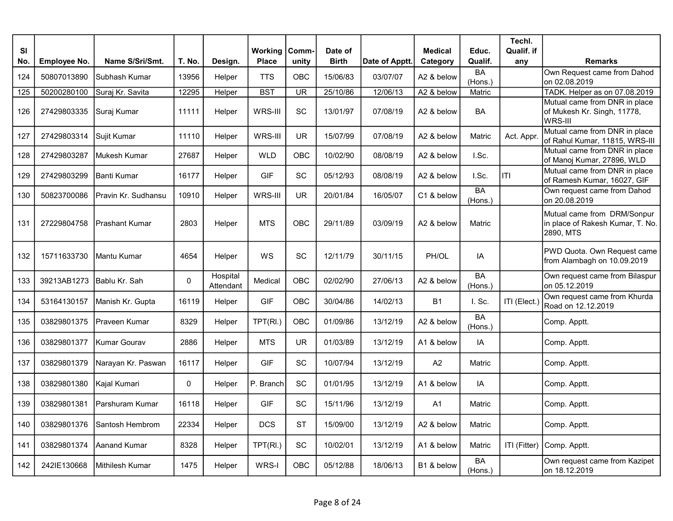| <b>SI</b> |              |                       |             |                       | Working      | Comm-                    | Date of      |                | <b>Medical</b> | Educ.                | Techl.<br>Qualif. if |                                                                              |
|-----------|--------------|-----------------------|-------------|-----------------------|--------------|--------------------------|--------------|----------------|----------------|----------------------|----------------------|------------------------------------------------------------------------------|
| No.       | Employee No. | Name S/Sri/Smt.       | T. No.      | Design.               | <b>Place</b> | unity                    | <b>Birth</b> | Date of Apptt. | Category       | Qualif.              | any                  | <b>Remarks</b>                                                               |
| 124       | 50807013890  | Subhash Kumar         | 13956       | Helper                | <b>TTS</b>   | OBC                      | 15/06/83     | 03/07/07       | A2 & below     | <b>BA</b><br>(Hons.) |                      | Own Request came from Dahod<br>on 02.08.2019                                 |
| 125       | 50200280100  | Suraj Kr. Savita      | 12295       | Helper                | <b>BST</b>   | $\overline{\mathsf{UR}}$ | 25/10/86     | 12/06/13       | A2 & below     | <b>Matric</b>        |                      | TADK. Helper as on 07.08.2019                                                |
| 126       | 27429803335  | Suraj Kumar           | 11111       | Helper                | WRS-III      | SC                       | 13/01/97     | 07/08/19       | A2 & below     | BA                   |                      | Mutual came from DNR in place<br>of Mukesh Kr. Singh, 11778,<br>WRS-III      |
| 127       | 27429803314  | Sujit Kumar           | 11110       | Helper                | WRS-III      | <b>UR</b>                | 15/07/99     | 07/08/19       | A2 & below     | Matric               | Act. Appr.           | Mutual came from DNR in place<br>of Rahul Kumar, 11815, WRS-III              |
| 128       | 27429803287  | Mukesh Kumar          | 27687       | Helper                | <b>WLD</b>   | OBC                      | 10/02/90     | 08/08/19       | A2 & below     | I.Sc.                |                      | Mutual came from DNR in place<br>of Manoj Kumar, 27896, WLD                  |
| 129       | 27429803299  | lBanti Kumar          | 16177       | Helper                | <b>GIF</b>   | SC                       | 05/12/93     | 08/08/19       | A2 & below     | I.Sc.                | T                    | Mutual came from DNR in place<br>of Ramesh Kumar, 16027, GIF                 |
| 130       | 50823700086  | Pravin Kr. Sudhansu   | 10910       | Helper                | WRS-III      | UR.                      | 20/01/84     | 16/05/07       | C1 & below     | BA<br>(Hons.)        |                      | Own request came from Dahod<br>on 20.08.2019                                 |
| 131       | 27229804758  | <b>Prashant Kumar</b> | 2803        | Helper                | <b>MTS</b>   | OBC                      | 29/11/89     | 03/09/19       | A2 & below     | Matric               |                      | Mutual came from DRM/Sonpur<br>in place of Rakesh Kumar, T. No.<br>2890, MTS |
| 132       | 15711633730  | Mantu Kumar           | 4654        | Helper                | WS           | SC                       | 12/11/79     | 30/11/15       | PH/OL          | IA                   |                      | PWD Quota. Own Request came<br>from Alambagh on 10.09.2019                   |
| 133       | 39213AB1273  | Bablu Kr. Sah         | $\pmb{0}$   | Hospital<br>Attendant | Medical      | <b>OBC</b>               | 02/02/90     | 27/06/13       | A2 & below     | <b>BA</b><br>(Hons.) |                      | Own request came from Bilaspur<br>on 05.12.2019                              |
| 134       | 53164130157  | Manish Kr. Gupta      | 16119       | Helper                | <b>GIF</b>   | OBC                      | 30/04/86     | 14/02/13       | <b>B1</b>      | I. Sc.               | ITI (Elect.)         | Own request came from Khurda<br>Road on 12.12.2019                           |
| 135       | 03829801375  | Praveen Kumar         | 8329        | Helper                | TPT(RI.)     | OBC                      | 01/09/86     | 13/12/19       | A2 & below     | <b>BA</b><br>(Hons.) |                      | Comp. Apptt.                                                                 |
| 136       | 03829801377  | Kumar Gourav          | 2886        | Helper                | <b>MTS</b>   | UR.                      | 01/03/89     | 13/12/19       | A1 & below     | IA                   |                      | Comp. Apptt.                                                                 |
| 137       | 03829801379  | Narayan Kr. Paswan    | 16117       | Helper                | <b>GIF</b>   | <b>SC</b>                | 10/07/94     | 13/12/19       | A2             | Matric               |                      | Comp. Apptt.                                                                 |
| 138       | 03829801380  | Kajal Kumari          | $\mathbf 0$ | Helper                | P. Branch    | <b>SC</b>                | 01/01/95     | 13/12/19       | A1 & below     | IA                   |                      | Comp. Apptt.                                                                 |
| 139       | 03829801381  | Parshuram Kumar       | 16118       | Helper                | <b>GIF</b>   | SC                       | 15/11/96     | 13/12/19       | A1             | Matric               |                      | Comp. Apptt.                                                                 |
| 140       | 03829801376  | Santosh Hembrom       | 22334       | Helper                | <b>DCS</b>   | <b>ST</b>                | 15/09/00     | 13/12/19       | A2 & below     | Matric               |                      | Comp. Apptt.                                                                 |
| 141       | 03829801374  | Aanand Kumar          | 8328        | Helper                | TPT(RI.)     | SC                       | 10/02/01     | 13/12/19       | A1 & below     | Matric               | ITI (Fitter)         | Comp. Apptt.                                                                 |
| 142       | 242IE130668  | Mithilesh Kumar       | 1475        | Helper                | WRS-I        | OBC                      | 05/12/88     | 18/06/13       | B1 & below     | BA<br>(Hons.)        |                      | Own request came from Kazipet<br>on 18.12.2019                               |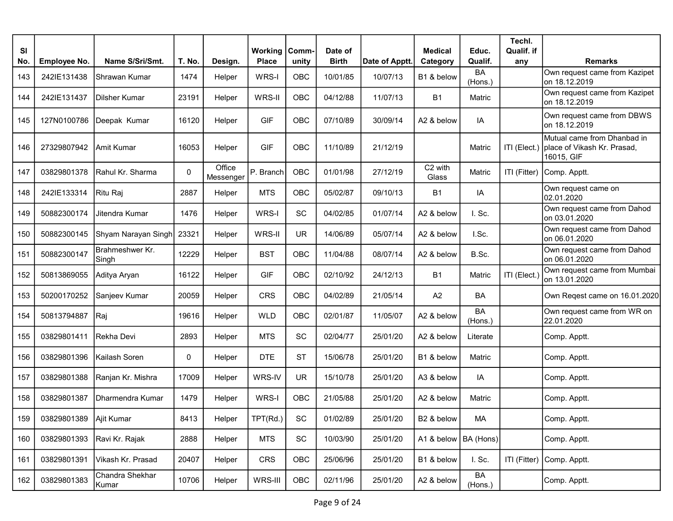| <b>SI</b> |                     |                                  |             |                     | Working      | Comm-      | Date of      |                | <b>Medical</b>         | Educ.                | Techl.<br>Qualif. if |                                                                          |
|-----------|---------------------|----------------------------------|-------------|---------------------|--------------|------------|--------------|----------------|------------------------|----------------------|----------------------|--------------------------------------------------------------------------|
| No.       | <b>Employee No.</b> | Name S/Sri/Smt.                  | T. No.      | Design.             | <b>Place</b> | unity      | <b>Birth</b> | Date of Apptt. | Category               | Qualif.              | any                  | <b>Remarks</b>                                                           |
| 143       | 242IE131438         | Shrawan Kumar                    | 1474        | Helper              | WRS-I        | OBC        | 10/01/85     | 10/07/13       | B1 & below             | <b>BA</b><br>(Hons.) |                      | Own request came from Kazipet<br>on 18.12.2019                           |
| 144       | 242IE131437         | Dilsher Kumar                    | 23191       | Helper              | WRS-II       | OBC        | 04/12/88     | 11/07/13       | <b>B1</b>              | Matric               |                      | Own request came from Kazipet<br>on 18.12.2019                           |
| 145       | 127N0100786         | Deepak Kumar                     | 16120       | Helper              | <b>GIF</b>   | <b>OBC</b> | 07/10/89     | 30/09/14       | A2 & below             | IA                   |                      | Own request came from DBWS<br>on 18.12.2019                              |
| 146       | 27329807942         | Amit Kumar                       | 16053       | Helper              | <b>GIF</b>   | OBC        | 11/10/89     | 21/12/19       |                        | Matric               | ITI (Elect.)         | Mutual came from Dhanbad in<br>place of Vikash Kr. Prasad,<br>16015, GIF |
| 147       | 03829801378         | Rahul Kr. Sharma                 | $\mathbf 0$ | Office<br>Messenger | P. Branch    | OBC        | 01/01/98     | 27/12/19       | C2 with<br>Glass       | Matric               | ITI (Fitter)         | Comp. Apptt.                                                             |
| 148       | 242IE133314         | Ritu Raj                         | 2887        | Helper              | <b>MTS</b>   | OBC        | 05/02/87     | 09/10/13       | <b>B1</b>              | IA                   |                      | Own request came on<br>02.01.2020                                        |
| 149       | 50882300174         | Jitendra Kumar                   | 1476        | Helper              | WRS-I        | SC         | 04/02/85     | 01/07/14       | A2 & below             | I. Sc.               |                      | Own request came from Dahod<br>on 03.01.2020                             |
| 150       | 50882300145         | Shyam Narayan Singh              | 23321       | Helper              | WRS-II       | <b>UR</b>  | 14/06/89     | 05/07/14       | A2 & below             | I.Sc.                |                      | Own request came from Dahod<br>on 06.01.2020                             |
| 151       | 50882300147         | <b>IBrahmeshwer Kr.</b><br>Singh | 12229       | Helper              | <b>BST</b>   | OBC        | 11/04/88     | 08/07/14       | A2 & below             | B.Sc.                |                      | Own request came from Dahod<br>on 06.01.2020                             |
| 152       | 50813869055         | Aditya Aryan                     | 16122       | Helper              | <b>GIF</b>   | <b>OBC</b> | 02/10/92     | 24/12/13       | <b>B1</b>              | Matric               | ITI (Elect.)         | Own request came from Mumbai<br>on 13.01.2020                            |
| 153       | 50200170252         | Sanjeev Kumar                    | 20059       | Helper              | <b>CRS</b>   | OBC        | 04/02/89     | 21/05/14       | A2                     | BA                   |                      | Own Regest came on 16.01.2020                                            |
| 154       | 50813794887         | Raj                              | 19616       | Helper              | <b>WLD</b>   | <b>OBC</b> | 02/01/87     | 11/05/07       | A2 & below             | <b>BA</b><br>(Hons.) |                      | Own request came from WR on<br>22.01.2020                                |
| 155       | 03829801411         | <b>IRekha Devi</b>               | 2893        | Helper              | <b>MTS</b>   | SC         | 02/04/77     | 25/01/20       | A2 & below             | Literate             |                      | Comp. Apptt.                                                             |
| 156       | 03829801396         | Kailash Soren                    | 0           | Helper              | <b>DTE</b>   | <b>ST</b>  | 15/06/78     | 25/01/20       | B1 & below             | Matric               |                      | Comp. Apptt.                                                             |
| 157       | 03829801388         | Ranjan Kr. Mishra                | 17009       | Helper              | WRS-IV       | <b>UR</b>  | 15/10/78     | 25/01/20       | A3 & below             | IA                   |                      | Comp. Apptt.                                                             |
| 158       | 03829801387         | Dharmendra Kumar                 | 1479        | Helper              | WRS-I        | OBC        | 21/05/88     | 25/01/20       | A2 & below             | Matric               |                      | Comp. Apptt.                                                             |
| 159       | 03829801389         | Ajit Kumar                       | 8413        | Helper              | TPT(Rd.)     | SC         | 01/02/89     | 25/01/20       | B2 & below             | МA                   |                      | Comp. Apptt.                                                             |
| 160       | 03829801393         | Ravi Kr. Rajak                   | 2888        | Helper              | <b>MTS</b>   | SC         | 10/03/90     | 25/01/20       | A1 & below   BA (Hons) |                      |                      | Comp. Apptt.                                                             |
| 161       | 03829801391         | Vikash Kr. Prasad                | 20407       | Helper              | CRS          | OBC        | 25/06/96     | 25/01/20       | B1 & below             | I. Sc.               | ITI (Fitter)         | Comp. Apptt.                                                             |
| 162       | 03829801383         | Chandra Shekhar<br>Kumar         | 10706       | Helper              | WRS-III      | OBC        | 02/11/96     | 25/01/20       | A2 & below             | BA<br>(Hons.)        |                      | Comp. Apptt.                                                             |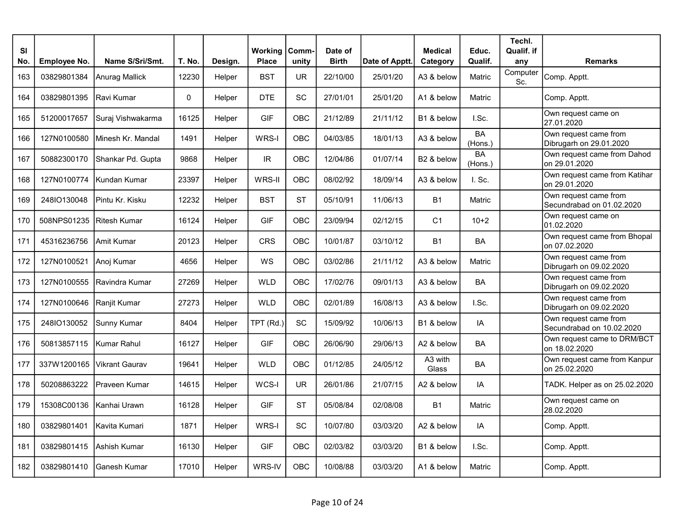| <b>SI</b> |              |                       |        |         | Working      | Comm-      | Date of      |                | <b>Medical</b>   | Educ.                | Techl.<br>Qualif. if |                                                    |
|-----------|--------------|-----------------------|--------|---------|--------------|------------|--------------|----------------|------------------|----------------------|----------------------|----------------------------------------------------|
| No.       | Employee No. | Name S/Sri/Smt.       | T. No. | Design. | <b>Place</b> | unity      | <b>Birth</b> | Date of Apptt. | Category         | Qualif.              | any                  | <b>Remarks</b>                                     |
| 163       | 03829801384  | Anurag Mallick        | 12230  | Helper  | <b>BST</b>   | <b>UR</b>  | 22/10/00     | 25/01/20       | A3 & below       | Matric               | Computer<br>Sc.      | Comp. Apptt.                                       |
| 164       | 03829801395  | Ravi Kumar            | 0      | Helper  | <b>DTE</b>   | SC         | 27/01/01     | 25/01/20       | A1 & below       | Matric               |                      | Comp. Apptt.                                       |
| 165       | 51200017657  | Suraj Vishwakarma     | 16125  | Helper  | <b>GIF</b>   | <b>OBC</b> | 21/12/89     | 21/11/12       | B1 & below       | I.Sc.                |                      | Own request came on<br>27.01.2020                  |
| 166       | 127N0100580  | Minesh Kr. Mandal     | 1491   | Helper  | WRS-I        | OBC        | 04/03/85     | 18/01/13       | A3 & below       | <b>BA</b><br>(Hons.) |                      | Own request came from<br>Dibrugarh on 29.01.2020   |
| 167       | 50882300170  | Shankar Pd. Gupta     | 9868   | Helper  | IR.          | OBC        | 12/04/86     | 01/07/14       | B2 & below       | <b>BA</b><br>(Hons.) |                      | Own request came from Dahod<br>on 29.01.2020       |
| 168       | 127N0100774  | Kundan Kumar          | 23397  | Helper  | WRS-II       | <b>OBC</b> | 08/02/92     | 18/09/14       | A3 & below       | I. Sc.               |                      | Own request came from Katihar<br>on 29.01.2020     |
| 169       | 248IO130048  | Pintu Kr. Kisku       | 12232  | Helper  | <b>BST</b>   | <b>ST</b>  | 05/10/91     | 11/06/13       | <b>B1</b>        | Matric               |                      | Own request came from<br>Secundrabad on 01.02.2020 |
| 170       | 508NPS01235  | Ritesh Kumar          | 16124  | Helper  | <b>GIF</b>   | OBC        | 23/09/94     | 02/12/15       | C <sub>1</sub>   | $10+2$               |                      | Own request came on<br>01.02.2020                  |
| 171       | 45316236756  | Amit Kumar            | 20123  | Helper  | <b>CRS</b>   | OBC        | 10/01/87     | 03/10/12       | <b>B1</b>        | BA                   |                      | Own request came from Bhopal<br>on 07.02.2020      |
| 172       | 127N0100521  | Anoj Kumar            | 4656   | Helper  | <b>WS</b>    | OBC        | 03/02/86     | 21/11/12       | A3 & below       | Matric               |                      | Own request came from<br>Dibrugarh on 09.02.2020   |
| 173       | 127N0100555  | Ravindra Kumar        | 27269  | Helper  | <b>WLD</b>   | <b>OBC</b> | 17/02/76     | 09/01/13       | A3 & below       | <b>BA</b>            |                      | Own request came from<br>Dibrugarh on 09.02.2020   |
| 174       | 127N0100646  | Ranjit Kumar          | 27273  | Helper  | <b>WLD</b>   | OBC        | 02/01/89     | 16/08/13       | A3 & below       | I.Sc.                |                      | Own request came from<br>Dibrugarh on 09.02.2020   |
| 175       | 248IO130052  | Sunny Kumar           | 8404   | Helper  | TPT (Rd.)    | <b>SC</b>  | 15/09/92     | 10/06/13       | B1 & below       | IA                   |                      | Own request came from<br>Secundrabad on 10.02.2020 |
| 176       | 50813857115  | Kumar Rahul           | 16127  | Helper  | <b>GIF</b>   | OBC        | 26/06/90     | 29/06/13       | A2 & below       | BA                   |                      | Own request came to DRM/BCT<br>on 18.02.2020       |
| 177       | 337W1200165  | <b>Vikrant Gaurav</b> | 19641  | Helper  | <b>WLD</b>   | <b>OBC</b> | 01/12/85     | 24/05/12       | A3 with<br>Glass | BA                   |                      | Own request came from Kanpur<br>on 25.02.2020      |
| 178       | 50208863222  | Praveen Kumar         | 14615  | Helper  | WCS-I        | <b>UR</b>  | 26/01/86     | 21/07/15       | A2 & below       | IA                   |                      | TADK. Helper as on 25.02.2020                      |
| 179       | 15308C00136  | Kanhai Urawn          | 16128  | Helper  | <b>GIF</b>   | <b>ST</b>  | 05/08/84     | 02/08/08       | <b>B1</b>        | Matric               |                      | Own request came on<br>28.02.2020                  |
| 180       | 03829801401  | Kavita Kumari         | 1871   | Helper  | WRS-I        | SC         | 10/07/80     | 03/03/20       | A2 & below       | IA                   |                      | Comp. Apptt.                                       |
| 181       | 03829801415  | Ashish Kumar          | 16130  | Helper  | <b>GIF</b>   | OBC        | 02/03/82     | 03/03/20       | B1 & below       | I.Sc.                |                      | Comp. Apptt.                                       |
| 182       | 03829801410  | Ganesh Kumar          | 17010  | Helper  | WRS-IV       | <b>OBC</b> | 10/08/88     | 03/03/20       | A1 & below       | Matric               |                      | Comp. Apptt.                                       |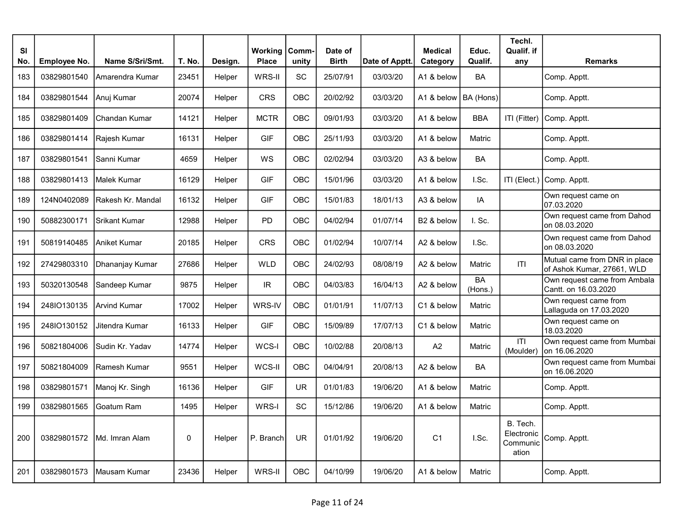| <b>SI</b><br>No. | Employee No. | Name S/Sri/Smt.      | T. No. | Design. | <b>Working Comm-</b><br><b>Place</b> | unity      | Date of<br><b>Birth</b> | Date of Apptt. | <b>Medical</b><br>Category | Educ.<br>Qualif. | Techl.<br>Qualif. if<br>any                 | <b>Remarks</b>                                              |
|------------------|--------------|----------------------|--------|---------|--------------------------------------|------------|-------------------------|----------------|----------------------------|------------------|---------------------------------------------|-------------------------------------------------------------|
| 183              | 03829801540  | Amarendra Kumar      | 23451  | Helper  | WRS-II                               | SC         | 25/07/91                | 03/03/20       | A1 & below                 | BA               |                                             | Comp. Apptt.                                                |
| 184              | 03829801544  | Anuj Kumar           | 20074  | Helper  | CRS                                  | OBC        | 20/02/92                | 03/03/20       | A1 & below                 | BA (Hons)        |                                             | Comp. Apptt.                                                |
| 185              | 03829801409  | Chandan Kumar        | 14121  | Helper  | <b>MCTR</b>                          | OBC        | 09/01/93                | 03/03/20       | A1 & below                 | <b>BBA</b>       | ITI (Fitter)                                | Comp. Apptt.                                                |
| 186              | 03829801414  | Rajesh Kumar         | 16131  | Helper  | <b>GIF</b>                           | OBC        | 25/11/93                | 03/03/20       | A1 & below                 | Matric           |                                             | Comp. Apptt.                                                |
| 187              | 03829801541  | Sanni Kumar          | 4659   | Helper  | WS                                   | OBC        | 02/02/94                | 03/03/20       | A3 & below                 | <b>BA</b>        |                                             | Comp. Apptt.                                                |
| 188              | 03829801413  | Malek Kumar          | 16129  | Helper  | <b>GIF</b>                           | OBC        | 15/01/96                | 03/03/20       | A1 & below                 | I.Sc.            | ITI (Elect.)                                | Comp. Apptt.                                                |
| 189              | 124N0402089  | Rakesh Kr. Mandal    | 16132  | Helper  | <b>GIF</b>                           | OBC        | 15/01/83                | 18/01/13       | A3 & below                 | IA               |                                             | Own request came on<br>07.03.2020                           |
| 190              | 50882300171  | <b>Srikant Kumar</b> | 12988  | Helper  | <b>PD</b>                            | OBC        | 04/02/94                | 01/07/14       | B <sub>2</sub> & below     | I. Sc.           |                                             | Own request came from Dahod<br>on 08.03.2020                |
| 191              | 50819140485  | Aniket Kumar         | 20185  | Helper  | <b>CRS</b>                           | <b>OBC</b> | 01/02/94                | 10/07/14       | A2 & below                 | I.Sc.            |                                             | Own request came from Dahod<br>on 08.03.2020                |
| 192              | 27429803310  | Dhananjay Kumar      | 27686  | Helper  | <b>WLD</b>                           | <b>OBC</b> | 24/02/93                | 08/08/19       | A2 & below                 | Matric           | ITI                                         | Mutual came from DNR in place<br>of Ashok Kumar, 27661, WLD |
| 193              | 50320130548  | Sandeep Kumar        | 9875   | Helper  | $\ensuremath{\mathsf{IR}}\xspace$    | OBC        | 04/03/83                | 16/04/13       | A2 & below                 | BA<br>(Hons.)    |                                             | Own request came from Ambala<br>Cantt. on 16.03.2020        |
| 194              | 248IO130135  | Arvind Kumar         | 17002  | Helper  | WRS-IV                               | OBC        | 01/01/91                | 11/07/13       | C1 & below                 | Matric           |                                             | Own request came from<br>Lallaguda on 17.03.2020            |
| 195              | 248IO130152  | Jitendra Kumar       | 16133  | Helper  | <b>GIF</b>                           | OBC        | 15/09/89                | 17/07/13       | C1 & below                 | Matric           |                                             | Own request came on<br>18.03.2020                           |
| 196              | 50821804006  | Sudin Kr. Yadav      | 14774  | Helper  | WCS-I                                | OBC        | 10/02/88                | 20/08/13       | A2                         | Matric           | T <br>(Moulder)                             | Own request came from Mumbai<br>on 16.06.2020               |
| 197              | 50821804009  | Ramesh Kumar         | 9551   | Helper  | WCS-II                               | OBC        | 04/04/91                | 20/08/13       | A2 & below                 | BA               |                                             | Own request came from Mumbai<br>on 16.06.2020               |
| 198              | 03829801571  | Manoj Kr. Singh      | 16136  | Helper  | <b>GIF</b>                           | <b>UR</b>  | 01/01/83                | 19/06/20       | A1 & below                 | Matric           |                                             | Comp. Apptt.                                                |
| 199              | 03829801565  | Goatum Ram           | 1495   | Helper  | WRS-I                                | SC         | 15/12/86                | 19/06/20       | A1 & below                 | Matric           |                                             | Comp. Apptt.                                                |
| 200              | 03829801572  | Md. Imran Alam       | 0      | Helper  | P. Branch                            | <b>UR</b>  | 01/01/92                | 19/06/20       | C <sub>1</sub>             | I.Sc.            | B. Tech.<br>Electronic<br>Communic<br>ation | Comp. Apptt.                                                |
| 201              | 03829801573  | Mausam Kumar         | 23436  | Helper  | WRS-II                               | OBC        | 04/10/99                | 19/06/20       | A1 & below                 | Matric           |                                             | Comp. Apptt.                                                |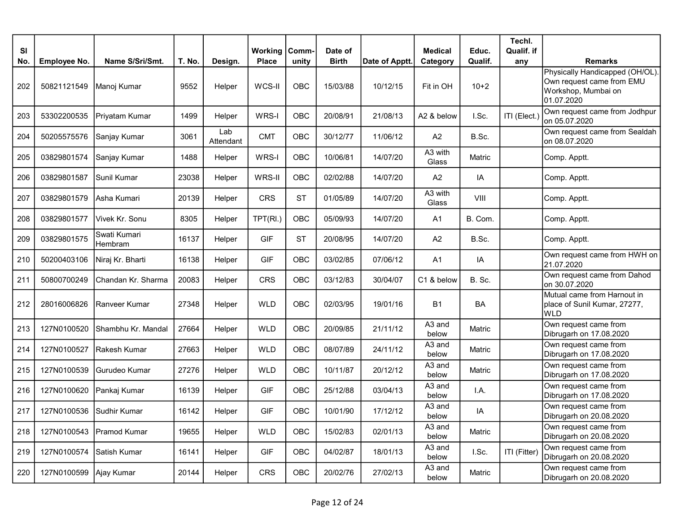| <b>SI</b><br>No. | <b>Employee No.</b> | Name S/Sri/Smt.         | T. No. | Design.          | Working<br><b>Place</b> | Comm-<br>unity | Date of<br><b>Birth</b> | Date of Apptt. | <b>Medical</b><br>Category  | Educ.<br>Qualif. | Techl.<br>Qualif. if<br>any | <b>Remarks</b>                                                                                    |
|------------------|---------------------|-------------------------|--------|------------------|-------------------------|----------------|-------------------------|----------------|-----------------------------|------------------|-----------------------------|---------------------------------------------------------------------------------------------------|
| 202              | 50821121549         | Manoj Kumar             | 9552   | Helper           | WCS-II                  | OBC            | 15/03/88                | 10/12/15       | Fit in OH                   | $10+2$           |                             | Physically Handicapped (OH/OL).<br>Own request came from EMU<br>Workshop, Mumbai on<br>01.07.2020 |
| 203              | 53302200535         | Priyatam Kumar          | 1499   | Helper           | WRS-I                   | OBC            | 20/08/91                | 21/08/13       | A2 & below                  | I.Sc.            | ITI (Elect.                 | Own request came from Jodhpur<br>on 05.07.2020                                                    |
| 204              | 50205575576         | Sanjay Kumar            | 3061   | Lab<br>Attendant | <b>CMT</b>              | OBC            | 30/12/77                | 11/06/12       | A2                          | B.Sc.            |                             | Own request came from Sealdah<br>on 08.07.2020                                                    |
| 205              | 03829801574         | Sanjay Kumar            | 1488   | Helper           | WRS-I                   | OBC            | 10/06/81                | 14/07/20       | A3 with<br>Glass            | Matric           |                             | Comp. Apptt.                                                                                      |
| 206              | 03829801587         | Sunil Kumar             | 23038  | Helper           | WRS-II                  | OBC            | 02/02/88                | 14/07/20       | A2                          | IA               |                             | Comp. Apptt.                                                                                      |
| 207              | 03829801579         | Asha Kumari             | 20139  | Helper           | <b>CRS</b>              | <b>ST</b>      | 01/05/89                | 14/07/20       | A3 with<br>Glass            | VIII             |                             | Comp. Apptt.                                                                                      |
| 208              | 03829801577         | Vivek Kr. Sonu          | 8305   | Helper           | TPT(RI.)                | OBC            | 05/09/93                | 14/07/20       | A <sub>1</sub>              | B. Com.          |                             | Comp. Apptt.                                                                                      |
| 209              | 03829801575         | Swati Kumari<br>Hembram | 16137  | Helper           | <b>GIF</b>              | <b>ST</b>      | 20/08/95                | 14/07/20       | A2                          | B.Sc.            |                             | Comp. Apptt.                                                                                      |
| 210              | 50200403106         | Niraj Kr. Bharti        | 16138  | Helper           | <b>GIF</b>              | OBC            | 03/02/85                | 07/06/12       | A <sub>1</sub>              | IA               |                             | Own request came from HWH on<br>21.07.2020                                                        |
| 211              | 50800700249         | Chandan Kr. Sharma      | 20083  | Helper           | <b>CRS</b>              | OBC            | 03/12/83                | 30/04/07       | C1 & below                  | B. Sc.           |                             | Own request came from Dahod<br>on 30.07.2020                                                      |
| 212              | 28016006826         | Ranveer Kumar           | 27348  | Helper           | <b>WLD</b>              | OBC            | 02/03/95                | 19/01/16       | <b>B1</b>                   | <b>BA</b>        |                             | Mutual came from Harnout in<br>place of Sunil Kumar, 27277,<br><b>WLD</b>                         |
| 213              | 127N0100520         | Shambhu Kr. Mandal      | 27664  | Helper           | <b>WLD</b>              | OBC            | 20/09/85                | 21/11/12       | A3 and<br>below             | Matric           |                             | Own request came from<br>Dibrugarh on 17.08.2020                                                  |
| 214              | 127N0100527         | Rakesh Kumar            | 27663  | Helper           | <b>WLD</b>              | OBC            | 08/07/89                | 24/11/12       | A <sub>3</sub> and<br>below | Matric           |                             | Own request came from<br>Dibrugarh on 17.08.2020                                                  |
| 215              | 127N0100539         | Gurudeo Kumar           | 27276  | Helper           | <b>WLD</b>              | OBC            | 10/11/87                | 20/12/12       | A3 and<br>below             | Matric           |                             | Own request came from<br>Dibrugarh on 17.08.2020                                                  |
| 216              | 127N0100620         | Pankaj Kumar            | 16139  | Helper           | <b>GIF</b>              | OBC            | 25/12/88                | 03/04/13       | A <sub>3</sub> and<br>below | I.A.             |                             | Own request came from<br>Dibrugarh on 17.08.2020                                                  |
| 217              | 127N0100536         | Sudhir Kumar            | 16142  | Helper           | <b>GIF</b>              | OBC            | 10/01/90                | 17/12/12       | A <sub>3</sub> and<br>below | IA               |                             | Own request came from<br>Dibrugarh on 20.08.2020                                                  |
| 218              | 127N0100543         | Pramod Kumar            | 19655  | Helper           | <b>WLD</b>              | OBC            | 15/02/83                | 02/01/13       | A3 and<br>below             | Matric           |                             | Own request came from<br>Dibrugarh on 20.08.2020                                                  |
| 219              | 127N0100574         | Satish Kumar            | 16141  | Helper           | <b>GIF</b>              | OBC            | 04/02/87                | 18/01/13       | A3 and<br>below             | I.Sc.            | ITI (Fitter)                | Own request came from<br>Dibrugarh on 20.08.2020                                                  |
| 220              | 127N0100599         | Ajay Kumar              | 20144  | Helper           | CRS                     | OBC            | 20/02/76                | 27/02/13       | A3 and<br>below             | Matric           |                             | Own request came from<br>Dibrugarh on 20.08.2020                                                  |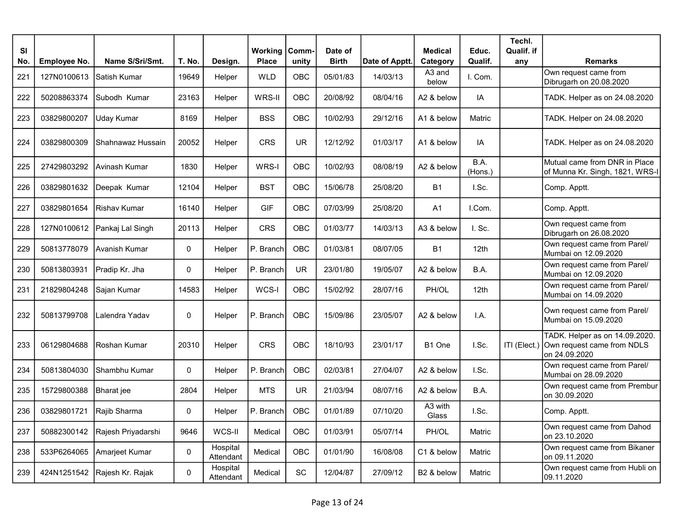| SI<br>No. | <b>Employee No.</b> | Name S/Sri/Smt.              | T. No. | Design.               | <b>Working   Comm-</b><br><b>Place</b> | unity      | Date of<br><b>Birth</b> | Date of Apptt. | <b>Medical</b><br>Category | Educ.<br>Qualif. | Techl.<br>Qualif. if<br>any | Remarks                                                                                    |
|-----------|---------------------|------------------------------|--------|-----------------------|----------------------------------------|------------|-------------------------|----------------|----------------------------|------------------|-----------------------------|--------------------------------------------------------------------------------------------|
| 221       | 127N0100613         | Satish Kumar                 | 19649  | Helper                | <b>WLD</b>                             | <b>OBC</b> | 05/01/83                | 14/03/13       | A3 and<br>below            | I. Com.          |                             | Own request came from<br>Dibrugarh on 20.08.2020                                           |
| 222       | 50208863374         | Subodh Kumar                 | 23163  | Helper                | WRS-II                                 | OBC        | 20/08/92                | 08/04/16       | A2 & below                 | IA               |                             | TADK. Helper as on 24.08.2020                                                              |
| 223       | 03829800207         | Uday Kumar                   | 8169   | Helper                | <b>BSS</b>                             | OBC        | 10/02/93                | 29/12/16       | A1 & below                 | Matric           |                             | TADK. Helper on 24.08.2020                                                                 |
| 224       | 03829800309         | Shahnawaz Hussain            | 20052  | Helper                | <b>CRS</b>                             | <b>UR</b>  | 12/12/92                | 01/03/17       | A1 & below                 | IA               |                             | TADK. Helper as on 24.08.2020                                                              |
| 225       | 27429803292         | Avinash Kumar                | 1830   | Helper                | WRS-I                                  | OBC        | 10/02/93                | 08/08/19       | A2 & below                 | B.A.<br>(Hons.)  |                             | Mutual came from DNR in Place<br>of Munna Kr. Singh, 1821, WRS-I                           |
| 226       | 03829801632         | Deepak Kumar                 | 12104  | Helper                | <b>BST</b>                             | OBC        | 15/06/78                | 25/08/20       | <b>B1</b>                  | I.Sc.            |                             | Comp. Apptt.                                                                               |
| 227       | 03829801654         | Rishav Kumar                 | 16140  | Helper                | <b>GIF</b>                             | <b>OBC</b> | 07/03/99                | 25/08/20       | A <sub>1</sub>             | I.Com.           |                             | Comp. Apptt.                                                                               |
| 228       | 127N0100612         | Pankaj Lal Singh             | 20113  | Helper                | <b>CRS</b>                             | OBC        | 01/03/77                | 14/03/13       | A3 & below                 | I. Sc.           |                             | Own request came from<br>Dibrugarh on 26.08.2020                                           |
| 229       | 50813778079         | Avanish Kumar                | 0      | Helper                | P. Branch                              | OBC        | 01/03/81                | 08/07/05       | <b>B1</b>                  | 12th             |                             | Own request came from Parel/<br>Mumbai on 12.09.2020                                       |
| 230       | 50813803931         | Pradip Kr. Jha               | 0      | Helper                | P. Branch                              | <b>UR</b>  | 23/01/80                | 19/05/07       | A2 & below                 | B.A.             |                             | Own request came from Parel/<br>Mumbai on 12.09.2020                                       |
| 231       | 21829804248         | Sajan Kumar                  | 14583  | Helper                | WCS-I                                  | OBC        | 15/02/92                | 28/07/16       | PH/OL                      | 12th             |                             | Own request came from Parel/<br>Mumbai on 14.09.2020                                       |
| 232       | 50813799708         | Lalendra Yadav               | 0      | Helper                | P. Branch                              | OBC        | 15/09/86                | 23/05/07       | A2 & below                 | I.A.             |                             | Own request came from Parel/<br>Mumbai on 15.09.2020                                       |
| 233       | 06129804688         | Roshan Kumar                 | 20310  | Helper                | <b>CRS</b>                             | <b>OBC</b> | 18/10/93                | 23/01/17       | B <sub>1</sub> One         | I.Sc.            |                             | TADK. Helper as on 14.09.2020.<br>ITI (Elect.) Own request came from NDLS<br>on 24.09.2020 |
| 234       | 50813804030         | Shambhu Kumar                | 0      | Helper                | P. Branch                              | OBC        | 02/03/81                | 27/04/07       | A2 & below                 | I.Sc.            |                             | Own request came from Parel/<br>Mumbai on 28.09.2020                                       |
| 235       | 15729800388         | <b>Bharat</b> jee            | 2804   | Helper                | <b>MTS</b>                             | <b>UR</b>  | 21/03/94                | 08/07/16       | A2 & below                 | B.A.             |                             | Own request came from Prembur<br>on 30.09.2020                                             |
| 236       | 03829801721         | Rajib Sharma                 | 0      | Helper                | P. Branch                              | OBC        | 01/01/89                | 07/10/20       | A3 with<br>Glass           | I.Sc.            |                             | Comp. Apptt.                                                                               |
| 237       | 50882300142         | Rajesh Priyadarshi           | 9646   | WCS-II                | Medical                                | OBC        | 01/03/91                | 05/07/14       | PH/OL                      | Matric           |                             | Own request came from Dahod<br>on 23.10.2020                                               |
| 238       |                     | 533P6264065 Amarjeet Kumar   | 0      | Hospital<br>Attendant | Medical                                | OBC        | 01/01/90                | 16/08/08       | C1 & below                 | Matric           |                             | Own request came from Bikaner<br>on 09.11.2020                                             |
| 239       |                     | 424N1251542 Rajesh Kr. Rajak | 0      | Hospital<br>Attendant | Medical                                | SC         | 12/04/87                | 27/09/12       | B2 & below                 | Matric           |                             | Own request came from Hubli on<br>09.11.2020                                               |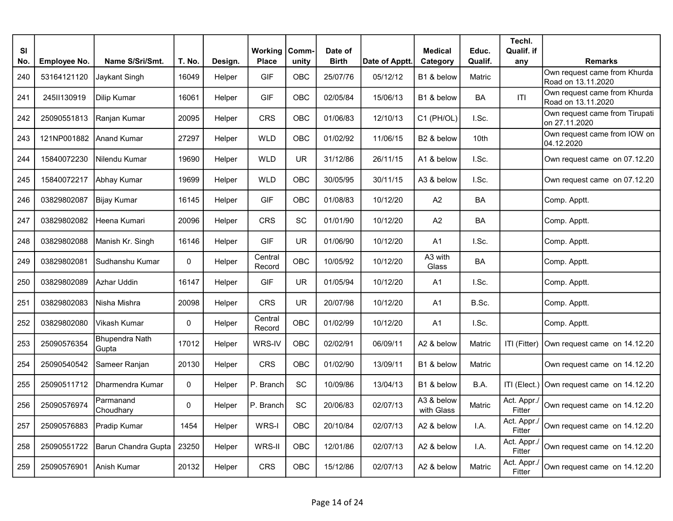| SI  |                     |                         |             |         | <b>Working</b>    | Comm-      | Date of      |                | <b>Medical</b>           | Educ.            | Techl.<br>Qualif. if  |                                                    |
|-----|---------------------|-------------------------|-------------|---------|-------------------|------------|--------------|----------------|--------------------------|------------------|-----------------------|----------------------------------------------------|
| No. | <b>Employee No.</b> | Name S/Sri/Smt.         | T. No.      | Design. | <b>Place</b>      | unity      | <b>Birth</b> | Date of Apptt. | Category                 | Qualif.          | any                   | <b>Remarks</b>                                     |
| 240 | 53164121120         | Jaykant Singh           | 16049       | Helper  | <b>GIF</b>        | OBC        | 25/07/76     | 05/12/12       | B1 & below               | Matric           |                       | Own request came from Khurda<br>Road on 13.11.2020 |
| 241 | 245II130919         | Dilip Kumar             | 16061       | Helper  | <b>GIF</b>        | OBC        | 02/05/84     | 15/06/13       | B1 & below               | BA               | T                     | Own request came from Khurda<br>Road on 13.11.2020 |
| 242 | 25090551813         | Ranjan Kumar            | 20095       | Helper  | CRS               | OBC        | 01/06/83     | 12/10/13       | C1 (PH/OL)               | I.Sc.            |                       | Own request came from Tirupati<br>on 27.11.2020    |
| 243 | 121NP001882         | <b>Anand Kumar</b>      | 27297       | Helper  | <b>WLD</b>        | OBC        | 01/02/92     | 11/06/15       | B2 & below               | 10 <sub>th</sub> |                       | Own request came from IOW on<br>04.12.2020         |
| 244 | 15840072230         | Nilendu Kumar           | 19690       | Helper  | <b>WLD</b>        | <b>UR</b>  | 31/12/86     | 26/11/15       | A1 & below               | I.Sc.            |                       | Own request came on 07.12.20                       |
| 245 | 15840072217         | Abhay Kumar             | 19699       | Helper  | <b>WLD</b>        | OBC        | 30/05/95     | 30/11/15       | A3 & below               | I.Sc.            |                       | Own request came on 07.12.20                       |
| 246 | 03829802087         | Bijay Kumar             | 16145       | Helper  | <b>GIF</b>        | OBC        | 01/08/83     | 10/12/20       | A <sub>2</sub>           | BA               |                       | Comp. Apptt.                                       |
| 247 | 03829802082         | Heena Kumari            | 20096       | Helper  | <b>CRS</b>        | SC         | 01/01/90     | 10/12/20       | A2                       | <b>BA</b>        |                       | Comp. Apptt.                                       |
| 248 | 03829802088         | Manish Kr. Singh        | 16146       | Helper  | <b>GIF</b>        | <b>UR</b>  | 01/06/90     | 10/12/20       | A <sub>1</sub>           | I.Sc.            |                       | Comp. Apptt.                                       |
| 249 | 03829802081         | Sudhanshu Kumar         | $\mathbf 0$ | Helper  | Central<br>Record | <b>OBC</b> | 10/05/92     | 10/12/20       | A3 with<br>Glass         | <b>BA</b>        |                       | Comp. Apptt.                                       |
| 250 | 03829802089         | Azhar Uddin             | 16147       | Helper  | <b>GIF</b>        | <b>UR</b>  | 01/05/94     | 10/12/20       | A <sub>1</sub>           | I.Sc.            |                       | Comp. Apptt.                                       |
| 251 | 03829802083         | Nisha Mishra            | 20098       | Helper  | <b>CRS</b>        | <b>UR</b>  | 20/07/98     | 10/12/20       | A1                       | B.Sc.            |                       | Comp. Apptt.                                       |
| 252 | 03829802080         | Vikash Kumar            | $\mathbf 0$ | Helper  | Central<br>Record | <b>OBC</b> | 01/02/99     | 10/12/20       | A1                       | I.Sc.            |                       | Comp. Apptt.                                       |
| 253 | 25090576354         | Bhupendra Nath<br>Gupta | 17012       | Helper  | WRS-IV            | OBC        | 02/02/91     | 06/09/11       | A2 & below               | Matric           | ITI (Fitter)          | Own request came on 14.12.20                       |
| 254 | 25090540542         | Sameer Ranjan           | 20130       | Helper  | CRS               | <b>OBC</b> | 01/02/90     | 13/09/11       | B1 & below               | Matric           |                       | Own request came on 14.12.20                       |
| 255 | 25090511712         | Dharmendra Kumar        | $\mathbf 0$ | Helper  | P. Branch         | SC         | 10/09/86     | 13/04/13       | B1 & below               | B.A.             |                       | ITI (Elect.) Own request came on 14.12.20          |
| 256 | 25090576974         | Parmanand<br>Choudhary  | 0           | Helper  | P. Branch         | SC         | 20/06/83     | 02/07/13       | A3 & below<br>with Glass | Matric           | Act. Appr./<br>Fitter | Own request came on 14.12.20                       |
| 257 | 25090576883         | Pradip Kumar            | 1454        | Helper  | WRS-I             | <b>OBC</b> | 20/10/84     | 02/07/13       | A2 & below               | I.A.             | Act. Appr./<br>Fitter | Own request came on 14.12.20                       |
| 258 | 25090551722         | Barun Chandra Gupta     | 23250       | Helper  | WRS-II            | OBC        | 12/01/86     | 02/07/13       | A2 & below               | I.A.             | Act. Appr./<br>Fitter | Own request came on 14.12.20                       |
| 259 | 25090576901         | Anish Kumar             | 20132       | Helper  | CRS               | OBC        | 15/12/86     | 02/07/13       | A2 & below               | Matric           | Act. Appr./<br>Fitter | Own request came on 14.12.20                       |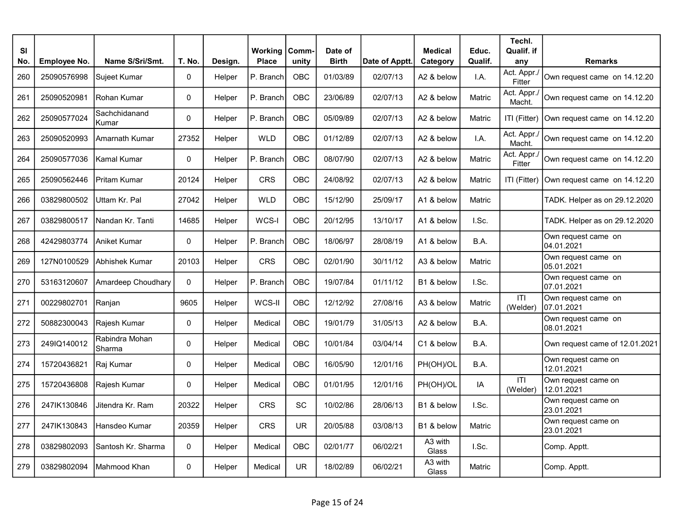| <b>SI</b> |              |                          |        |         | Working      | Comm-      | Date of      |                | <b>Medical</b>   | Educ.         | Techl.<br>Qualif. if  |                                   |
|-----------|--------------|--------------------------|--------|---------|--------------|------------|--------------|----------------|------------------|---------------|-----------------------|-----------------------------------|
| No.       | Employee No. | Name S/Sri/Smt.          | T. No. | Design. | <b>Place</b> | unity      | <b>Birth</b> | Date of Apptt. | Category         | Qualif.       | any                   | <b>Remarks</b>                    |
| 260       | 25090576998  | Sujeet Kumar             | 0      | Helper  | P. Branch    | OBC        | 01/03/89     | 02/07/13       | A2 & below       | I.A.          | Act. Appr./<br>Fitter | Own request came on 14.12.20      |
| 261       | 25090520981  | Rohan Kumar              | 0      | Helper  | P. Branch    | OBC        | 23/06/89     | 02/07/13       | A2 & below       | Matric        | Act. Appr./<br>Macht. | Own request came on 14.12.20      |
| 262       | 25090577024  | Sachchidanand<br>Kumar   | 0      | Helper  | P. Branch    | OBC        | 05/09/89     | 02/07/13       | A2 & below       | Matric        | ITI (Fitter)          | Own request came on 14.12.20      |
| 263       | 25090520993  | <b>Amarnath Kumar</b>    | 27352  | Helper  | <b>WLD</b>   | OBC        | 01/12/89     | 02/07/13       | A2 & below       | I.A.          | Act. Appr.<br>Macht.  | Own request came on 14.12.20      |
| 264       | 25090577036  | Kamal Kumar              | 0      | Helper  | P. Branch    | OBC        | 08/07/90     | 02/07/13       | A2 & below       | Matric        | Act. Appr./<br>Fitter | Own request came on 14.12.20      |
| 265       | 25090562446  | <b>Pritam Kumar</b>      | 20124  | Helper  | <b>CRS</b>   | <b>OBC</b> | 24/08/92     | 02/07/13       | A2 & below       | Matric        | ITI (Fitter)          | Own request came on 14.12.20      |
| 266       | 03829800502  | Uttam Kr. Pal            | 27042  | Helper  | <b>WLD</b>   | <b>OBC</b> | 15/12/90     | 25/09/17       | A1 & below       | Matric        |                       | TADK. Helper as on 29.12.2020     |
| 267       | 03829800517  | Nandan Kr. Tanti         | 14685  | Helper  | WCS-I        | <b>OBC</b> | 20/12/95     | 13/10/17       | A1 & below       | I.Sc.         |                       | TADK. Helper as on 29.12.2020     |
| 268       | 42429803774  | Aniket Kumar             | 0      | Helper  | P. Branch    | <b>OBC</b> | 18/06/97     | 28/08/19       | A1 & below       | B.A.          |                       | Own request came on<br>04.01.2021 |
| 269       | 127N0100529  | Abhishek Kumar           | 20103  | Helper  | CRS          | OBC        | 02/01/90     | 30/11/12       | A3 & below       | <b>Matric</b> |                       | Own request came on<br>05.01.2021 |
| 270       | 53163120607  | Amardeep Choudhary       | 0      | Helper  | P. Branch    | <b>OBC</b> | 19/07/84     | 01/11/12       | B1 & below       | I.Sc.         |                       | Own request came on<br>07.01.2021 |
| 271       | 00229802701  | Ranjan                   | 9605   | Helper  | WCS-II       | <b>OBC</b> | 12/12/92     | 27/08/16       | A3 & below       | Matric        | ITI<br>(Welder)       | Own request came on<br>07.01.2021 |
| 272       | 50882300043  | Rajesh Kumar             | 0      | Helper  | Medical      | <b>OBC</b> | 19/01/79     | 31/05/13       | A2 & below       | B.A.          |                       | Own request came on<br>08.01.2021 |
| 273       | 249IQ140012  | Rabindra Mohan<br>Sharma | 0      | Helper  | Medical      | <b>OBC</b> | 10/01/84     | 03/04/14       | C1 & below       | B.A.          |                       | Own request came of 12.01.2021    |
| 274       | 15720436821  | Raj Kumar                | 0      | Helper  | Medical      | <b>OBC</b> | 16/05/90     | 12/01/16       | PH(OH)/OL        | B.A.          |                       | Own request came on<br>12.01.2021 |
| 275       | 15720436808  | Rajesh Kumar             | 0      | Helper  | Medical      | <b>OBC</b> | 01/01/95     | 12/01/16       | PH(OH)/OL        | IA            | ITI<br>(Welder)       | Own request came on<br>12.01.2021 |
| 276       | 247IK130846  | Jitendra Kr. Ram         | 20322  | Helper  | <b>CRS</b>   | <b>SC</b>  | 10/02/86     | 28/06/13       | B1 & below       | I.Sc.         |                       | Own request came on<br>23.01.2021 |
| 277       | 247IK130843  | Hansdeo Kumar            | 20359  | Helper  | <b>CRS</b>   | <b>UR</b>  | 20/05/88     | 03/08/13       | B1 & below       | Matric        |                       | Own request came on<br>23.01.2021 |
| 278       | 03829802093  | Santosh Kr. Sharma       | 0      | Helper  | Medical      | OBC        | 02/01/77     | 06/02/21       | A3 with<br>Glass | I.Sc.         |                       | Comp. Apptt.                      |
| 279       | 03829802094  | Mahmood Khan             | 0      | Helper  | Medical      | <b>UR</b>  | 18/02/89     | 06/02/21       | A3 with<br>Glass | Matric        |                       | Comp. Apptt.                      |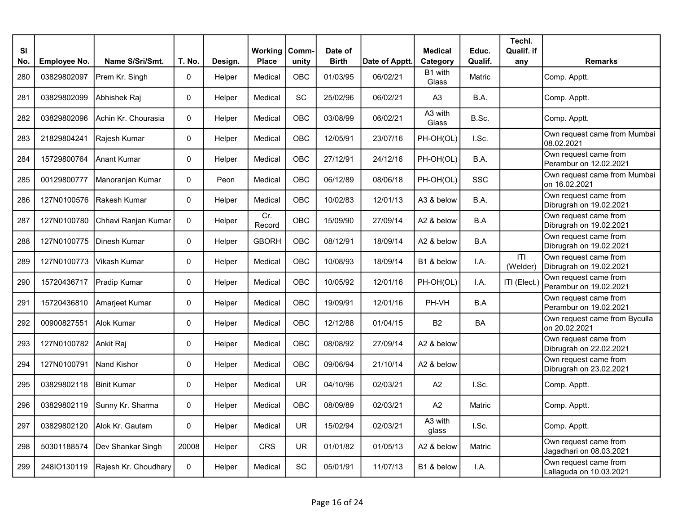| <b>SI</b> |              |                       |              |         | Working       | Comm-      | Date of      |                | <b>Medical</b>   | Educ.     | Techl.<br>Qualif. if |                                                  |
|-----------|--------------|-----------------------|--------------|---------|---------------|------------|--------------|----------------|------------------|-----------|----------------------|--------------------------------------------------|
| No.       | Employee No. | Name S/Sri/Smt.       | T. No.       | Design. | <b>Place</b>  | unity      | <b>Birth</b> | Date of Apptt. | Category         | Qualif.   | any                  | <b>Remarks</b>                                   |
| 280       | 03829802097  | Prem Kr. Singh        | 0            | Helper  | Medical       | OBC        | 01/03/95     | 06/02/21       | B1 with<br>Glass | Matric    |                      | Comp. Apptt.                                     |
| 281       | 03829802099  | Abhishek Raj          | $\pmb{0}$    | Helper  | Medical       | SC         | 25/02/96     | 06/02/21       | A <sub>3</sub>   | B.A.      |                      | Comp. Apptt.                                     |
| 282       | 03829802096  | Achin Kr. Chourasia   | $\mathbf{0}$ | Helper  | Medical       | <b>OBC</b> | 03/08/99     | 06/02/21       | A3 with<br>Glass | B.Sc.     |                      | Comp. Apptt.                                     |
| 283       | 21829804241  | Rajesh Kumar          | 0            | Helper  | Medical       | OBC        | 12/05/91     | 23/07/16       | PH-OH(OL)        | I.Sc.     |                      | Own request came from Mumbai<br>08.02.2021       |
| 284       | 15729800764  | Anant Kumar           | $\Omega$     | Helper  | Medical       | OBC        | 27/12/91     | 24/12/16       | PH-OH(OL)        | B.A.      |                      | Own request came from<br>Perambur on 12.02.2021  |
| 285       | 00129800777  | Manoranjan Kumar      | 0            | Peon    | Medical       | OBC        | 06/12/89     | 08/06/18       | PH-OH(OL)        | SSC       |                      | Own request came from Mumbai<br>on 16.02.2021    |
| 286       | 127N0100576  | <b>IRakesh Kumar</b>  | $\pmb{0}$    | Helper  | Medical       | <b>OBC</b> | 10/02/83     | 12/01/13       | A3 & below       | B.A.      |                      | Own request came from<br>Dibrugrah on 19.02.2021 |
| 287       | 127N0100780  | Chhavi Ranjan Kumar   | 0            | Helper  | Cr.<br>Record | <b>OBC</b> | 15/09/90     | 27/09/14       | A2 & below       | B.A       |                      | Own request came from<br>Dibrugrah on 19.02.2021 |
| 288       | 127N0100775  | <b>I</b> Dinesh Kumar | 0            | Helper  | <b>GBORH</b>  | <b>OBC</b> | 08/12/91     | 18/09/14       | A2 & below       | B.A       |                      | Own request came from<br>Dibrugrah on 19.02.2021 |
| 289       | 127N0100773  | Vikash Kumar          | 0            | Helper  | Medical       | OBC        | 10/08/93     | 18/09/14       | B1 & below       | I.A.      | T <br>(Welder)       | Own request came from<br>Dibrugrah on 19.02.2021 |
| 290       | 15720436717  | Pradip Kumar          | $\mathbf 0$  | Helper  | Medical       | <b>OBC</b> | 10/05/92     | 12/01/16       | PH-OH(OL)        | I.A.      | ITI (Elect.)         | Own request came from<br>Perambur on 19.02.2021  |
| 291       | 15720436810  | Amarieet Kumar        | 0            | Helper  | Medical       | <b>OBC</b> | 19/09/91     | 12/01/16       | PH-VH            | B.A       |                      | Own request came from<br>Perambur on 19.02.2021  |
| 292       | 00900827551  | Alok Kumar            | 0            | Helper  | Medical       | OBC        | 12/12/88     | 01/04/15       | <b>B2</b>        | <b>BA</b> |                      | Own request came from Byculla<br>on 20.02.2021   |
| 293       | 127N0100782  | Ankit Raj             | $\mathbf 0$  | Helper  | Medical       | <b>OBC</b> | 08/08/92     | 27/09/14       | A2 & below       |           |                      | Own request came from<br>Dibrugrah on 22.02.2021 |
| 294       | 127N0100791  | Nand Kishor           | 0            | Helper  | Medical       | <b>OBC</b> | 09/06/94     | 21/10/14       | A2 & below       |           |                      | Own request came from<br>Dibrugrah on 23.02.2021 |
| 295       | 03829802118  | <b>I</b> Binit Kumar  | 0            | Helper  | Medical       | <b>UR</b>  | 04/10/96     | 02/03/21       | A2               | I.Sc.     |                      | Comp. Apptt.                                     |
| 296       | 03829802119  | Sunny Kr. Sharma      | 0            | Helper  | Medical       | OBC        | 08/09/89     | 02/03/21       | A2               | Matric    |                      | Comp. Apptt.                                     |
| 297       | 03829802120  | IAlok Kr. Gautam      | 0            | Helper  | Medical       | UR.        | 15/02/94     | 02/03/21       | A3 with<br>glass | I.Sc.     |                      | Comp. Apptt.                                     |
| 298       | 50301188574  | Dev Shankar Singh     | 20008        | Helper  | <b>CRS</b>    | UR.        | 01/01/82     | 01/05/13       | A2 & below       | Matric    |                      | Own request came from<br>Jagadhari on 08.03.2021 |
| 299       | 248IO130119  | Rajesh Kr. Choudhary  | 0            | Helper  | Medical       | SC         | 05/01/91     | 11/07/13       | B1 & below       | I.A.      |                      | Own request came from<br>Lallaguda on 10.03.2021 |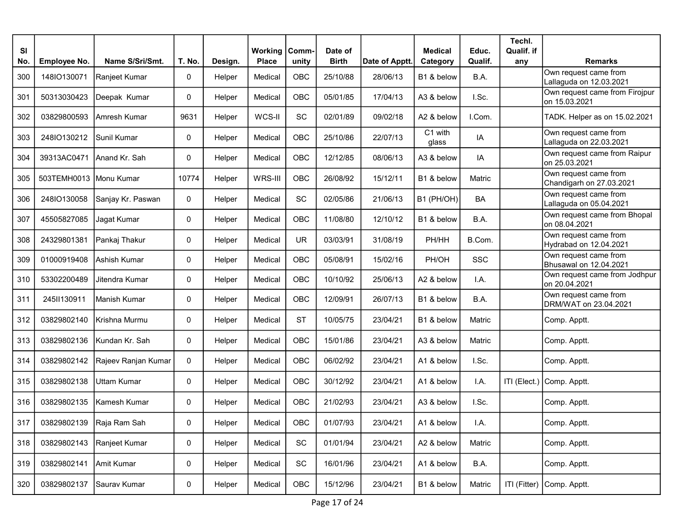| SI<br>No. |                        | Name S/Sri/Smt.     | T. No. | Design. | <b>Working   Comm-</b><br><b>Place</b> |                              | Date of<br><b>Birth</b> | Date of Apptt. | <b>Medical</b>   | Educ.<br>Qualif. | Techl.<br>Qualif. if | <b>Remarks</b>                                    |
|-----------|------------------------|---------------------|--------|---------|----------------------------------------|------------------------------|-------------------------|----------------|------------------|------------------|----------------------|---------------------------------------------------|
|           | Employee No.           |                     |        |         |                                        | unity                        |                         |                | Category         |                  | any                  | Own request came from                             |
| 300       | 148IO130071            | Ranjeet Kumar       | 0      | Helper  | Medical                                | <b>OBC</b>                   | 25/10/88                | 28/06/13       | B1 & below       | B.A.             |                      | Lallaguda on 12.03.2021                           |
| 301       | 50313030423            | Deepak Kumar        | 0      | Helper  | Medical                                | OBC                          | 05/01/85                | 17/04/13       | A3 & below       | I.Sc.            |                      | Own request came from Firojpur<br>lon 15.03.2021  |
| 302       | 03829800593            | Amresh Kumar        | 9631   | Helper  | WCS-II                                 | SC                           | 02/01/89                | 09/02/18       | A2 & below       | I.Com.           |                      | TADK. Helper as on 15.02.2021                     |
| 303       | 248IO130212            | Sunil Kumar         | 0      | Helper  | Medical                                | <b>OBC</b>                   | 25/10/86                | 22/07/13       | C1 with<br>glass | IA               |                      | Own request came from<br>Lallaguda on 22.03.2021  |
| 304       | 39313AC0471            | IAnand Kr. Sah      | 0      | Helper  | Medical                                | OBC                          | 12/12/85                | 08/06/13       | A3 & below       | IA               |                      | Own request came from Raipur<br>on 25.03.2021     |
| 305       | 503TEMH0013 Monu Kumar |                     | 10774  | Helper  | WRS-III                                | OBC                          | 26/08/92                | 15/12/11       | B1 & below       | Matric           |                      | Own request came from<br>Chandigarh on 27.03.2021 |
| 306       | 248IO130058            | Sanjay Kr. Paswan   | 0      | Helper  | Medical                                | SC                           | 02/05/86                | 21/06/13       | B1 (PH/OH)       | <b>BA</b>        |                      | Own request came from<br>Lallaguda on 05.04.2021  |
| 307       | 45505827085            | Jagat Kumar         | 0      | Helper  | Medical                                | OBC                          | 11/08/80                | 12/10/12       | B1 & below       | B.A.             |                      | Own request came from Bhopal<br>lon 08.04.2021    |
| 308       | 24329801381            | Pankaj Thakur       | 0      | Helper  | Medical                                | <b>UR</b>                    | 03/03/91                | 31/08/19       | PH/HH            | B.Com.           |                      | Own request came from<br>Hydrabad on 12.04.2021   |
| 309       | 01000919408            | Ashish Kumar        | 0      | Helper  | Medical                                | OBC                          | 05/08/91                | 15/02/16       | PH/OH            | <b>SSC</b>       |                      | Own request came from<br>Bhusawal on 12.04.2021   |
| 310       | 53302200489            | Jitendra Kumar      | 0      | Helper  | Medical                                | OBC                          | 10/10/92                | 25/06/13       | A2 & below       | I.A.             |                      | Own request came from Jodhpur<br>on 20.04.2021    |
| 311       | 245II130911            | Manish Kumar        | 0      | Helper  | Medical                                | <b>OBC</b>                   | 12/09/91                | 26/07/13       | B1 & below       | B.A.             |                      | Own request came from<br>DRM/WAT on 23.04.2021    |
| 312       | 03829802140            | Krishna Murmu       | 0      | Helper  | Medical                                | <b>ST</b>                    | 10/05/75                | 23/04/21       | B1 & below       | Matric           |                      | Comp. Apptt.                                      |
| 313       | 03829802136            | Kundan Kr. Sah      | 0      | Helper  | Medical                                | OBC                          | 15/01/86                | 23/04/21       | A3 & below       | Matric           |                      | Comp. Apptt.                                      |
| 314       | 03829802142            | Rajeev Ranjan Kumar | 0      | Helper  | Medical                                | <b>OBC</b>                   | 06/02/92                | 23/04/21       | A1 & below       | I.Sc.            |                      | Comp. Apptt.                                      |
| 315       | 03829802138            | Uttam Kumar         | 0      | Helper  | Medical                                | OBC                          | 30/12/92                | 23/04/21       | A1 & below       | I.A.             |                      | ITI (Elect.) Comp. Apptt.                         |
| 316       | 03829802135            | Kamesh Kumar        | 0      | Helper  | Medical                                | <b>OBC</b>                   | 21/02/93                | 23/04/21       | A3 & below       | I.Sc.            |                      | Comp. Apptt.                                      |
| 317       | 03829802139            | Raja Ram Sah        | 0      | Helper  | Medical                                | OBC                          | 01/07/93                | 23/04/21       | A1 & below       | I.A.             |                      | Comp. Apptt.                                      |
| 318       | 03829802143            | Ranjeet Kumar       | 0      | Helper  | Medical                                | $\operatorname{\textsf{SC}}$ | 01/01/94                | 23/04/21       | A2 & below       | Matric           |                      | Comp. Apptt.                                      |
| 319       | 03829802141            | Amit Kumar          | 0      | Helper  | Medical                                | $\operatorname{\textsf{SC}}$ | 16/01/96                | 23/04/21       | A1 & below       | B.A.             |                      | Comp. Apptt.                                      |
| 320       | 03829802137            | Saurav Kumar        | 0      | Helper  | Medical                                | OBC                          | 15/12/96                | 23/04/21       | B1 & below       | Matric           |                      | ITI (Fitter) Comp. Apptt.                         |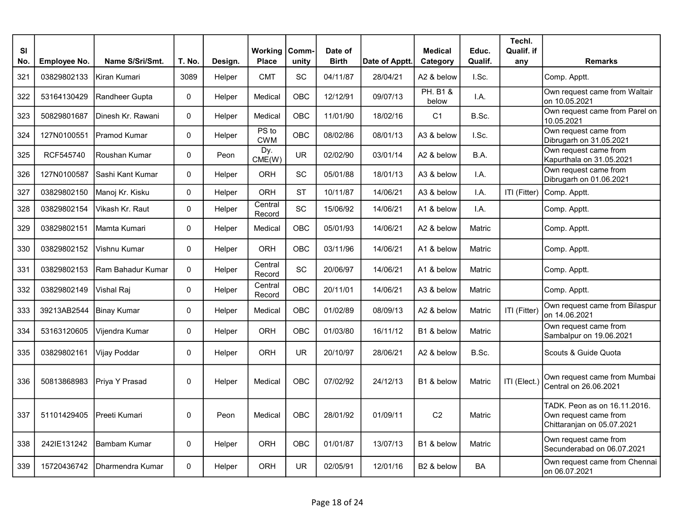| <b>SI</b> | Employee No. | Name S/Sri/Smt.    | T. No.       |         | Working             | Comm-      | Date of      | Date of Apptt. | <b>Medical</b>               | Educ.<br>Qualif. | Techl.<br>Qualif. if | <b>Remarks</b>                                                                      |
|-----------|--------------|--------------------|--------------|---------|---------------------|------------|--------------|----------------|------------------------------|------------------|----------------------|-------------------------------------------------------------------------------------|
| No.       |              |                    |              | Design. | <b>Place</b>        | unity      | <b>Birth</b> |                | Category                     |                  | any                  |                                                                                     |
| 321       | 03829802133  | Kiran Kumari       | 3089         | Helper  | <b>CMT</b>          | SC         | 04/11/87     | 28/04/21       | A2 & below                   | I.Sc.            |                      | Comp. Apptt.                                                                        |
| 322       | 53164130429  | Randheer Gupta     | $\mathbf{0}$ | Helper  | Medical             | OBC        | 12/12/91     | 09/07/13       | <b>PH. B1 &amp;</b><br>below | I.A.             |                      | Own request came from Waltair<br>on 10.05.2021                                      |
| 323       | 50829801687  | IDinesh Kr. Rawani | $\mathbf 0$  | Helper  | Medical             | <b>OBC</b> | 11/01/90     | 18/02/16       | C <sub>1</sub>               | B.Sc.            |                      | Own request came from Parel on<br>10.05.2021                                        |
| 324       | 127N0100551  | Pramod Kumar       | $\mathbf{0}$ | Helper  | PS to<br><b>CWM</b> | <b>OBC</b> | 08/02/86     | 08/01/13       | A3 & below                   | I.Sc.            |                      | Own request came from<br>Dibrugarh on 31.05.2021                                    |
| 325       | RCF545740    | Roushan Kumar      | $\mathbf 0$  | Peon    | Dy.<br>CME(W)       | <b>UR</b>  | 02/02/90     | 03/01/14       | A2 & below                   | B.A.             |                      | Own request came from<br>Kapurthala on 31.05.2021                                   |
| 326       | 127N0100587  | Sashi Kant Kumar   | $\mathbf 0$  | Helper  | <b>ORH</b>          | SC         | 05/01/88     | 18/01/13       | A3 & below                   | I.A.             |                      | Own request came from<br>Dibrugarh on 01.06.2021                                    |
| 327       | 03829802150  | Manoj Kr. Kisku    | 0            | Helper  | ORH                 | <b>ST</b>  | 10/11/87     | 14/06/21       | A3 & below                   | I.A.             | ITI (Fitter)         | Comp. Apptt.                                                                        |
| 328       | 03829802154  | Vikash Kr. Raut    | 0            | Helper  | Central<br>Record   | SC         | 15/06/92     | 14/06/21       | A1 & below                   | I.A.             |                      | Comp. Apptt.                                                                        |
| 329       | 03829802151  | IMamta Kumari      | $\mathbf 0$  | Helper  | Medical             | <b>OBC</b> | 05/01/93     | 14/06/21       | A2 & below                   | Matric           |                      | Comp. Apptt.                                                                        |
| 330       | 03829802152  | Vishnu Kumar       | $\mathbf 0$  | Helper  | <b>ORH</b>          | OBC        | 03/11/96     | 14/06/21       | A1 & below                   | Matric           |                      | Comp. Apptt.                                                                        |
| 331       | 03829802153  | Ram Bahadur Kumar  | $\mathbf 0$  | Helper  | Central<br>Record   | <b>SC</b>  | 20/06/97     | 14/06/21       | A1 & below                   | Matric           |                      | Comp. Apptt.                                                                        |
| 332       | 03829802149  | Vishal Raj         | $\mathbf 0$  | Helper  | Central<br>Record   | <b>OBC</b> | 20/11/01     | 14/06/21       | A3 & below                   | Matric           |                      | Comp. Apptt.                                                                        |
| 333       | 39213AB2544  | Binay Kumar        | $\mathbf 0$  | Helper  | Medical             | OBC        | 01/02/89     | 08/09/13       | A2 & below                   | Matric           | ITI (Fitter)         | Own request came from Bilaspur<br>on 14.06.2021                                     |
| 334       | 53163120605  | Vijendra Kumar     | 0            | Helper  | <b>ORH</b>          | OBC        | 01/03/80     | 16/11/12       | B1 & below                   | Matric           |                      | Own request came from<br>Sambalpur on 19.06.2021                                    |
| 335       | 03829802161  | Vijay Poddar       | $\mathsf 0$  | Helper  | <b>ORH</b>          | <b>UR</b>  | 20/10/97     | 28/06/21       | A2 & below                   | B.Sc.            |                      | Scouts & Guide Quota                                                                |
| 336       | 50813868983  | Priva Y Prasad     | $\mathbf 0$  | Helper  | Medical             | OBC        | 07/02/92     | 24/12/13       | B <sub>1</sub> & below       | Matric           | ITI (Elect.)         | Own request came from Mumbai<br>Central on 26.06.2021                               |
| 337       | 51101429405  | Preeti Kumari      | $\mathbf 0$  | Peon    | Medical             | OBC        | 28/01/92     | 01/09/11       | C <sub>2</sub>               | Matric           |                      | TADK. Peon as on 16.11.2016.<br>Own request came from<br>Chittaranjan on 05.07.2021 |
| 338       | 242IE131242  | IBambam Kumar      | $\mathbf 0$  | Helper  | ORH                 | OBC        | 01/01/87     | 13/07/13       | B1 & below                   | <b>Matric</b>    |                      | Own request came from<br>Secunderabad on 06.07.2021                                 |
| 339       | 15720436742  | Dharmendra Kumar   | $\mathbf{0}$ | Helper  | <b>ORH</b>          | <b>UR</b>  | 02/05/91     | 12/01/16       | B2 & below                   | <b>BA</b>        |                      | Own request came from Chennai<br>on 06.07.2021                                      |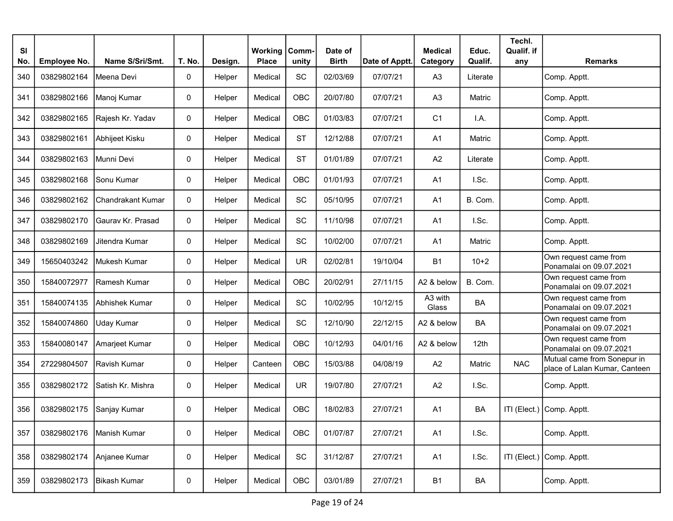| SI<br>No. | Employee No. | Name S/Sri/Smt.          | T. No. | Design. | <b>Working</b><br><b>Place</b> | Comm-<br>unity | Date of<br><b>Birth</b> | Date of Apptt. | <b>Medical</b><br>Category | Educ.<br>Qualif. | Techl.<br>Qualif. if<br>any | <b>Remarks</b>                                               |
|-----------|--------------|--------------------------|--------|---------|--------------------------------|----------------|-------------------------|----------------|----------------------------|------------------|-----------------------------|--------------------------------------------------------------|
| 340       | 03829802164  | Meena Devi               | 0      | Helper  | Medical                        | SC             | 02/03/69                | 07/07/21       | A <sub>3</sub>             | Literate         |                             | Comp. Apptt.                                                 |
| 341       | 03829802166  | Manoj Kumar              | 0      | Helper  | Medical                        | OBC            | 20/07/80                | 07/07/21       | A <sub>3</sub>             | Matric           |                             | Comp. Apptt.                                                 |
| 342       | 03829802165  | Rajesh Kr. Yadav         | 0      | Helper  | Medical                        | OBC            | 01/03/83                | 07/07/21       | C <sub>1</sub>             | I.A.             |                             | Comp. Apptt.                                                 |
| 343       | 03829802161  | Abhijeet Kisku           | 0      | Helper  | Medical                        | <b>ST</b>      | 12/12/88                | 07/07/21       | A <sub>1</sub>             | Matric           |                             | Comp. Apptt.                                                 |
| 344       | 03829802163  | Munni Devi               | 0      | Helper  | Medical                        | <b>ST</b>      | 01/01/89                | 07/07/21       | A2                         | Literate         |                             | Comp. Apptt.                                                 |
| 345       | 03829802168  | Sonu Kumar               | 0      | Helper  | Medical                        | OBC            | 01/01/93                | 07/07/21       | A <sub>1</sub>             | I.Sc.            |                             | Comp. Apptt.                                                 |
| 346       | 03829802162  | <b>Chandrakant Kumar</b> | 0      | Helper  | Medical                        | SC             | 05/10/95                | 07/07/21       | A <sub>1</sub>             | B. Com.          |                             | Comp. Apptt.                                                 |
| 347       | 03829802170  | Gauray Kr. Prasad        | 0      | Helper  | Medical                        | SC             | 11/10/98                | 07/07/21       | A <sub>1</sub>             | I.Sc.            |                             | Comp. Apptt.                                                 |
| 348       | 03829802169  | Jitendra Kumar           | 0      | Helper  | Medical                        | SC             | 10/02/00                | 07/07/21       | A <sub>1</sub>             | Matric           |                             | Comp. Apptt.                                                 |
| 349       | 15650403242  | Mukesh Kumar             | 0      | Helper  | Medical                        | <b>UR</b>      | 02/02/81                | 19/10/04       | <b>B1</b>                  | $10+2$           |                             | Own request came from<br>Ponamalai on 09.07.2021             |
| 350       | 15840072977  | Ramesh Kumar             | 0      | Helper  | Medical                        | OBC            | 20/02/91                | 27/11/15       | A2 & below                 | B. Com.          |                             | Own request came from<br>Ponamalai on 09.07.2021             |
| 351       | 15840074135  | Abhishek Kumar           | 0      | Helper  | Medical                        | SC             | 10/02/95                | 10/12/15       | A3 with<br>Glass           | BA               |                             | Own request came from<br>Ponamalai on 09.07.2021             |
| 352       | 15840074860  | Uday Kumar               | 0      | Helper  | Medical                        | SC             | 12/10/90                | 22/12/15       | A2 & below                 | BA               |                             | Own request came from<br>Ponamalai on 09.07.2021             |
| 353       | 15840080147  | Amarjeet Kumar           | 0      | Helper  | Medical                        | OBC            | 10/12/93                | 04/01/16       | A2 & below                 | 12 <sub>th</sub> |                             | Own request came from<br>Ponamalai on 09.07.2021             |
| 354       | 27229804507  | Ravish Kumar             | 0      | Helper  | Canteen                        | OBC            | 15/03/88                | 04/08/19       | A2                         | Matric           | <b>NAC</b>                  | Mutual came from Sonepur in<br>place of Lalan Kumar, Canteen |
| 355       | 03829802172  | Satish Kr. Mishra        | 0      | Helper  | Medical                        | <b>UR</b>      | 19/07/80                | 27/07/21       | A2                         | I.Sc.            |                             | Comp. Apptt.                                                 |
| 356       | 03829802175  | Sanjay Kumar             | 0      | Helper  | Medical                        | OBC            | 18/02/83                | 27/07/21       | A1                         | BA               |                             | ITI (Elect.) Comp. Apptt.                                    |
| 357       | 03829802176  | Manish Kumar             | 0      | Helper  | Medical                        | OBC            | 01/07/87                | 27/07/21       | A1                         | I.Sc.            |                             | Comp. Apptt.                                                 |
| 358       | 03829802174  | Anjanee Kumar            | 0      | Helper  | Medical                        | SC             | 31/12/87                | 27/07/21       | A <sub>1</sub>             | I.Sc.            |                             | ITI (Elect.) Comp. Apptt.                                    |
| 359       | 03829802173  | <b>Bikash Kumar</b>      | 0      | Helper  | Medical                        | OBC            | 03/01/89                | 27/07/21       | B <sub>1</sub>             | BA               |                             | Comp. Apptt.                                                 |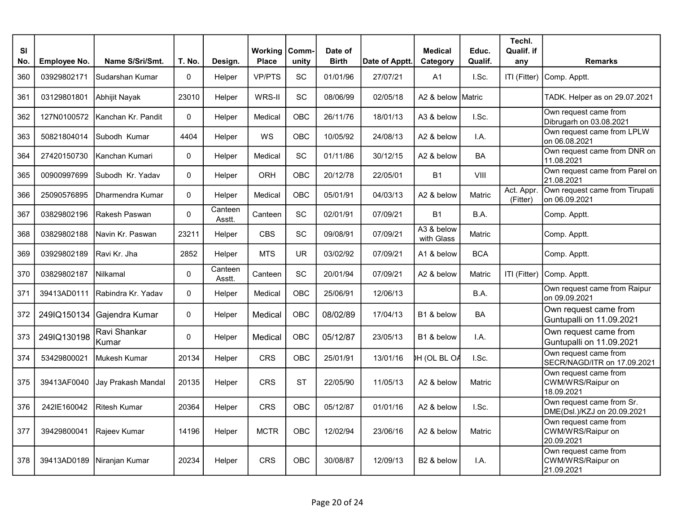| <b>SI</b><br>No. | Employee No. | Name S/Sri/Smt.       | T. No.      | Design.           | <b>Working</b><br><b>Place</b> | Comm-<br>unity | Date of<br><b>Birth</b> | Date of Apptt. | <b>Medical</b><br>Category | Educ.<br>Qualif. | Techl.<br>Qualif. if<br>any | <b>Remarks</b>                                           |
|------------------|--------------|-----------------------|-------------|-------------------|--------------------------------|----------------|-------------------------|----------------|----------------------------|------------------|-----------------------------|----------------------------------------------------------|
| 360              | 03929802171  | Sudarshan Kumar       | $\Omega$    | Helper            | <b>VP/PTS</b>                  | SC             | 01/01/96                | 27/07/21       | A1                         | I.Sc.            |                             | ITI (Fitter) Comp. Apptt.                                |
| 361              | 03129801801  | Abhijit Nayak         | 23010       | Helper            | WRS-II                         | <b>SC</b>      | 08/06/99                | 02/05/18       | A2 & below Matric          |                  |                             | TADK. Helper as on 29.07.2021                            |
| 362              | 127N0100572  | Kanchan Kr. Pandit    | $\Omega$    | Helper            | Medical                        | <b>OBC</b>     | 26/11/76                | 18/01/13       | A3 & below                 | I.Sc.            |                             | Own request came from<br>Dibrugarh on 03.08.2021         |
| 363              | 50821804014  | Subodh Kumar          | 4404        | Helper            | WS                             | OBC            | 10/05/92                | 24/08/13       | A2 & below                 | I.A.             |                             | Own request came from LPLW<br>on 06.08.2021              |
| 364              | 27420150730  | Kanchan Kumari        | 0           | Helper            | Medical                        | <b>SC</b>      | 01/11/86                | 30/12/15       | A2 & below                 | BA               |                             | Own request came from DNR on<br>11.08.2021               |
| 365              | 00900997699  | Subodh Kr. Yadav      | $\Omega$    | Helper            | ORH                            | <b>OBC</b>     | 20/12/78                | 22/05/01       | <b>B1</b>                  | VIII             |                             | Own request came from Parel on<br>21.08.2021             |
| 366              | 25090576895  | Dharmendra Kumar      | 0           | Helper            | Medical                        | <b>OBC</b>     | 05/01/91                | 04/03/13       | A2 & below                 | Matric           | Act. Appr.<br>(Fitter)      | Own request came from Tirupati<br>on 06.09.2021          |
| 367              | 03829802196  | Rakesh Paswan         | $\mathsf 0$ | Canteen<br>Asstt. | Canteen                        | SC             | 02/01/91                | 07/09/21       | <b>B1</b>                  | B.A.             |                             | Comp. Apptt.                                             |
| 368              | 03829802188  | Navin Kr. Paswan      | 23211       | Helper            | <b>CBS</b>                     | <b>SC</b>      | 09/08/91                | 07/09/21       | A3 & below<br>with Glass   | Matric           |                             | Comp. Apptt.                                             |
| 369              | 03929802189  | Ravi Kr. Jha          | 2852        | Helper            | <b>MTS</b>                     | <b>UR</b>      | 03/02/92                | 07/09/21       | A1 & below                 | <b>BCA</b>       |                             | Comp. Apptt.                                             |
| 370              | 03829802187  | Nilkamal              | 0           | Canteen<br>Asstt. | Canteen                        | <b>SC</b>      | 20/01/94                | 07/09/21       | A2 & below                 | Matric           | ITI (Fitter)                | Comp. Apptt.                                             |
| 371              | 39413AD0111  | Rabindra Kr. Yadav    | 0           | Helper            | Medical                        | <b>OBC</b>     | 25/06/91                | 12/06/13       |                            | B.A.             |                             | Own request came from Raipur<br>on 09.09.2021            |
| 372              | 249IQ150134  | Gajendra Kumar        | 0           | Helper            | Medical                        | <b>OBC</b>     | 08/02/89                | 17/04/13       | B1 & below                 | BA               |                             | Own request came from<br>Guntupalli on 11.09.2021        |
| 373              | 249IQ130198  | Ravi Shankar<br>Kumar | 0           | Helper            | Medical                        | OBC            | 05/12/87                | 23/05/13       | B1 & below                 | I.A.             |                             | Own request came from<br>Guntupalli on 11.09.2021        |
| 374              | 53429800021  | Mukesh Kumar          | 20134       | Helper            | CRS                            | OBC            | 25/01/91                | 13/01/16       | <b>DH (OL BL OA</b>        | I.Sc.            |                             | Own request came from<br>SECR/NAGD/ITR on 17.09.2021     |
| 375              | 39413AF0040  | Jay Prakash Mandal    | 20135       | Helper            | <b>CRS</b>                     | <b>ST</b>      | 22/05/90                | 11/05/13       | A2 & below                 | Matric           |                             | Own request came from<br>CWM/WRS/Raipur on<br>18.09.2021 |
| 376              | 242IE160042  | <b>Ritesh Kumar</b>   | 20364       | Helper            | CRS                            | <b>OBC</b>     | 05/12/87                | 01/01/16       | A2 & below                 | I.Sc.            |                             | Own request came from Sr.<br>DME(Dsl.)/KZJ on 20.09.2021 |
| 377              | 39429800041  | Rajeev Kumar          | 14196       | Helper            | <b>MCTR</b>                    | <b>OBC</b>     | 12/02/94                | 23/06/16       | A2 & below                 | Matric           |                             | Own request came from<br>CWM/WRS/Raipur on<br>20.09.2021 |
| 378              | 39413AD0189  | Niranjan Kumar        | 20234       | Helper            | <b>CRS</b>                     | <b>OBC</b>     | 30/08/87                | 12/09/13       | B <sub>2</sub> & below     | $1.A$ .          |                             | Own request came from<br>CWM/WRS/Raipur on<br>21.09.2021 |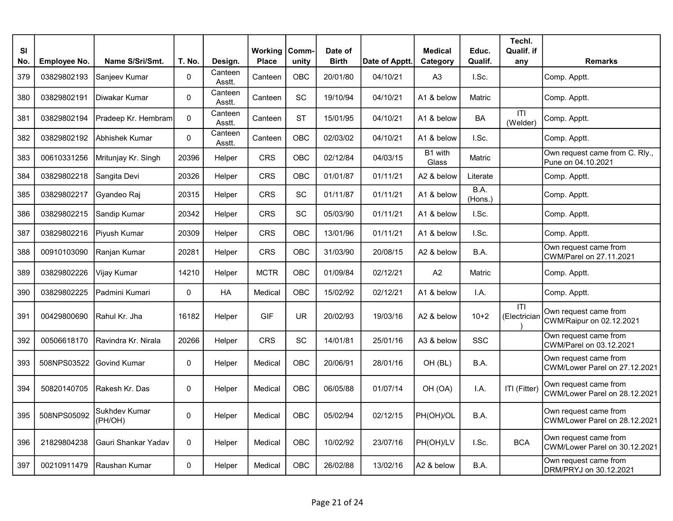| <b>SI</b><br>No. | <b>Employee No.</b> | Name S/Sri/Smt.          | T. No.       | Design.           | <b>Working   Comm-</b><br><b>Place</b> | unity      | Date of<br><b>Birth</b> | Date of Apptt. | <b>Medical</b><br>Category | Educ.<br>Qualif. | Techl.<br>Qualif. if<br>any | <b>Remarks</b>                                         |
|------------------|---------------------|--------------------------|--------------|-------------------|----------------------------------------|------------|-------------------------|----------------|----------------------------|------------------|-----------------------------|--------------------------------------------------------|
| 379              | 03829802193         | Sanjeev Kumar            | 0            | Canteen<br>Asstt. | Canteen                                | OBC        | 20/01/80                | 04/10/21       | A <sub>3</sub>             | I.Sc.            |                             | Comp. Apptt.                                           |
| 380              | 03829802191         | Diwakar Kumar            | $\mathbf{0}$ | Canteen<br>Asstt. | Canteen                                | <b>SC</b>  | 19/10/94                | 04/10/21       | A1 & below                 | Matric           |                             | Comp. Apptt.                                           |
| 381              | 03829802194         | Pradeep Kr. Hembram      | $\Omega$     | Canteen<br>Asstt. | Canteen                                | <b>ST</b>  | 15/01/95                | 04/10/21       | A1 & below                 | <b>BA</b>        | T <br>(Welder)              | Comp. Apptt.                                           |
| 382              | 03829802192         | IAbhishek Kumar          | $\Omega$     | Canteen<br>Asstt. | Canteen                                | OBC        | 02/03/02                | 04/10/21       | A1 & below                 | I.Sc.            |                             | Comp. Apptt.                                           |
| 383              | 00610331256         | Mritunjay Kr. Singh      | 20396        | Helper            | CRS                                    | OBC        | 02/12/84                | 04/03/15       | B1 with<br>Glass           | Matric           |                             | Own request came from C. Rly.,<br>Pune on 04.10.2021   |
| 384              | 03829802218         | Sangita Devi             | 20326        | Helper            | CRS                                    | OBC        | 01/01/87                | 01/11/21       | A2 & below                 | Literate         |                             | Comp. Apptt.                                           |
| 385              | 03829802217         | Gyandeo Raj              | 20315        | Helper            | CRS                                    | SC         | 01/11/87                | 01/11/21       | A1 & below                 | B.A.<br>(Hons.)  |                             | Comp. Apptt.                                           |
| 386              | 03829802215         | Sandip Kumar             | 20342        | Helper            | <b>CRS</b>                             | <b>SC</b>  | 05/03/90                | 01/11/21       | A1 & below                 | I.Sc.            |                             | Comp. Apptt.                                           |
| 387              | 03829802216         | Piyush Kumar             | 20309        | Helper            | <b>CRS</b>                             | OBC        | 13/01/96                | 01/11/21       | A1 & below                 | I.Sc.            |                             | Comp. Apptt.                                           |
| 388              | 00910103090         | Ranjan Kumar             | 20281        | Helper            | <b>CRS</b>                             | <b>OBC</b> | 31/03/90                | 20/08/15       | A2 & below                 | B.A.             |                             | Own request came from<br>CWM/Parel on 27.11.2021       |
| 389              | 03829802226         | Vijay Kumar              | 14210        | Helper            | <b>MCTR</b>                            | OBC        | 01/09/84                | 02/12/21       | A2                         | Matric           |                             | Comp. Apptt.                                           |
| 390              | 03829802225         | Padmini Kumari           | $\mathbf 0$  | HA                | Medical                                | <b>OBC</b> | 15/02/92                | 02/12/21       | A1 & below                 | I.A.             |                             | Comp. Apptt.                                           |
| 391              | 00429800690         | Rahul Kr. Jha            | 16182        | Helper            | <b>GIF</b>                             | <b>UR</b>  | 20/02/93                | 19/03/16       | A2 & below                 | $10+2$           | ITI<br>(Electrician         | Own request came from<br>CWM/Raipur on 02.12.2021      |
| 392              | 00506618170         | Ravindra Kr. Nirala      | 20266        | Helper            | <b>CRS</b>                             | <b>SC</b>  | 14/01/81                | 25/01/16       | A3 & below                 | <b>SSC</b>       |                             | Own request came from<br>CWM/Parel on 03.12.2021       |
| 393              | 508NPS03522         | Govind Kumar             | 0            | Helper            | Medical                                | OBC        | 20/06/91                | 28/01/16       | OH (BL)                    | B.A.             |                             | Own request came from<br>CWM/Lower Parel on 27.12.2021 |
| 394              | 50820140705         | Rakesh Kr. Das           | $\Omega$     | Helper            | Medical                                | OBC        | 06/05/88                | 01/07/14       | OH (OA)                    | I.A.             | ITI (Fitter)                | Own request came from<br>CWM/Lower Parel on 28.12.2021 |
| 395              | 508NPS05092         | Sukhdev Kumar<br>(PH/OH) | 0            | Helper            | Medical                                | OBC        | 05/02/94                | 02/12/15       | PH(OH)/OL                  | B.A.             |                             | Own request came from<br>CWM/Lower Parel on 28.12.2021 |
| 396              | 21829804238         | Gauri Shankar Yadav      | $\mathbf 0$  | Helper            | Medical                                | OBC        | 10/02/92                | 23/07/16       | PH(OH)/LV                  | I.Sc.            | <b>BCA</b>                  | Own request came from<br>CWM/Lower Parel on 30.12.2021 |
| 397              | 00210911479         | Raushan Kumar            | 0            | Helper            | Medical                                | <b>OBC</b> | 26/02/88                | 13/02/16       | A2 & below                 | B.A.             |                             | Own request came from<br>DRM/PRYJ on 30.12.2021        |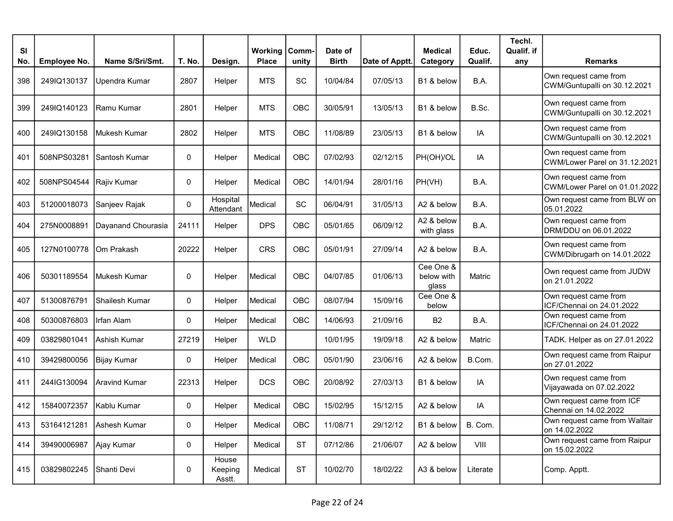| <b>SI</b> |              |                      |             |                            | Working      | Comm-      | Date of      |                | <b>Medical</b>                   | Educ.    | Techl.<br>Qualif. if |                                                        |
|-----------|--------------|----------------------|-------------|----------------------------|--------------|------------|--------------|----------------|----------------------------------|----------|----------------------|--------------------------------------------------------|
| No.       | Employee No. | Name S/Sri/Smt.      | T. No.      | Design.                    | <b>Place</b> | unity      | <b>Birth</b> | Date of Apptt. | Category                         | Qualif.  | any                  | <b>Remarks</b>                                         |
| 398       | 249IQ130137  | Upendra Kumar        | 2807        | Helper                     | <b>MTS</b>   | SC         | 10/04/84     | 07/05/13       | B1 & below                       | B.A.     |                      | Own request came from<br>CWM/Guntupalli on 30.12.2021  |
| 399       | 249IQ140123  | lRamu Kumar          | 2801        | Helper                     | <b>MTS</b>   | OBC        | 30/05/91     | 13/05/13       | B1 & below                       | B.Sc.    |                      | Own request came from<br>CWM/Guntupalli on 30.12.2021  |
| 400       | 249IQ130158  | Mukesh Kumar         | 2802        | Helper                     | <b>MTS</b>   | OBC        | 11/08/89     | 23/05/13       | B1 & below                       | IA       |                      | Own request came from<br>CWM/Guntupalli on 30.12.2021  |
| 401       | 508NPS03281  | lSantosh Kumar       | 0           | Helper                     | Medical      | OBC        | 07/02/93     | 02/12/15       | PH(OH)/OL                        | IA       |                      | Own request came from<br>CWM/Lower Parel on 31.12.2021 |
| 402       | 508NPS04544  | Rajiv Kumar          | 0           | Helper                     | Medical      | <b>OBC</b> | 14/01/94     | 28/01/16       | PH(VH)                           | B.A.     |                      | Own request came from<br>CWM/Lower Parel on 01.01.2022 |
| 403       | 51200018073  | Sanjeev Rajak        | 0           | Hospital<br>Attendant      | Medical      | SC         | 06/04/91     | 31/05/13       | A2 & below                       | B.A.     |                      | Own request came from BLW on<br>05.01.2022             |
| 404       | 275N0008891  | Dayanand Chourasia   | 24111       | Helper                     | <b>DPS</b>   | OBC        | 05/01/65     | 06/09/12       | A2 & below<br>with glass         | B.A.     |                      | Own request came from<br>DRM/DDU on 06.01.2022         |
| 405       | 127N0100778  | lOm Prakash          | 20222       | Helper                     | <b>CRS</b>   | <b>OBC</b> | 05/01/91     | 27/09/14       | A2 & below                       | B.A.     |                      | Own request came from<br>CWM/Dibrugarh on 14.01.2022   |
| 406       | 50301189554  | Mukesh Kumar         | 0           | Helper                     | Medical      | OBC        | 04/07/85     | 01/06/13       | Cee One &<br>below with<br>glass | Matric   |                      | Own request came from JUDW<br>on 21.01.2022            |
| 407       | 51300876791  | Shailesh Kumar       | 0           | Helper                     | Medical      | <b>OBC</b> | 08/07/94     | 15/09/16       | Cee One &<br>below               |          |                      | Own request came from<br>ICF/Chennai on 24.01.2022     |
| 408       | 50300876803  | Infan Alam           | $\mathbf 0$ | Helper                     | Medical      | <b>OBC</b> | 14/06/93     | 21/09/16       | <b>B2</b>                        | B.A.     |                      | Own request came from<br>ICF/Chennai on 24.01.2022     |
| 409       | 03829801041  | Ashish Kumar         | 27219       | Helper                     | <b>WLD</b>   |            | 10/01/95     | 19/09/18       | A2 & below                       | Matric   |                      | TADK. Helper as on 27.01.2022                          |
| 410       | 39429800056  | Bijay Kumar          | 0           | Helper                     | Medical      | <b>OBC</b> | 05/01/90     | 23/06/16       | A2 & below                       | B.Com.   |                      | Own request came from Raipur<br>on 27.01.2022          |
| 411       | 244IG130094  | <b>Aravind Kumar</b> | 22313       | Helper                     | <b>DCS</b>   | OBC        | 20/08/92     | 27/03/13       | B1 & below                       | IA       |                      | Own request came from<br>Vijayawada on 07.02.2022      |
| 412       | 15840072357  | Kablu Kumar          | 0           | Helper                     | Medical      | <b>OBC</b> | 15/02/95     | 15/12/15       | A2 & below                       | IA       |                      | Own request came from ICF<br>Chennai on 14.02.2022     |
| 413       | 53164121281  | Ashesh Kumar         | 0           | Helper                     | Medical      | OBC        | 11/08/71     | 29/12/12       | B1 & below                       | B. Com.  |                      | Own request came from Waltair<br>on 14.02.2022         |
| 414       | 39490006987  | Ajay Kumar           | 0           | Helper                     | Medical      | <b>ST</b>  | 07/12/86     | 21/06/07       | A2 & below                       | VIII     |                      | Own request came from Raipur<br>on 15.02.2022          |
| 415       | 03829802245  | Shanti Devi          | 0           | House<br>Keeping<br>Asstt. | Medical      | <b>ST</b>  | 10/02/70     | 18/02/22       | A3 & below                       | Literate |                      | Comp. Apptt.                                           |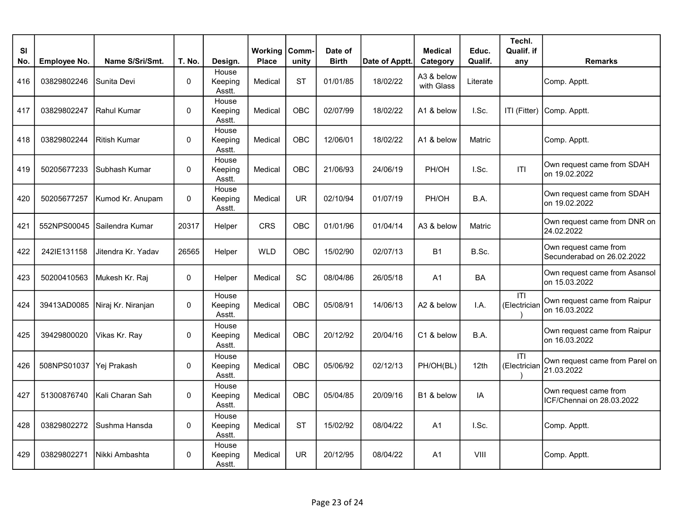| SI<br>No. | <b>Employee No.</b> | Name S/Sri/Smt.             | T. No.       | Design.                    | <b>Working</b><br><b>Place</b> | Comm-<br>unity | Date of<br><b>Birth</b> | Date of Apptt. | <b>Medical</b><br>Category | Educ.<br>Qualif. | Techl.<br>Qualif. if<br>any    | <b>Remarks</b>                                      |
|-----------|---------------------|-----------------------------|--------------|----------------------------|--------------------------------|----------------|-------------------------|----------------|----------------------------|------------------|--------------------------------|-----------------------------------------------------|
| 416       | 03829802246         | Sunita Devi                 | $\mathbf{0}$ | House<br>Keeping<br>Asstt. | Medical                        | <b>ST</b>      | 01/01/85                | 18/02/22       | A3 & below<br>with Glass   | Literate         |                                | Comp. Apptt.                                        |
| 417       | 03829802247         | l Rahul Kumar               | $\mathbf 0$  | House<br>Keeping<br>Asstt. | Medical                        | <b>OBC</b>     | 02/07/99                | 18/02/22       | A1 & below                 | I.Sc.            | ITI (Fitter)                   | Comp. Apptt.                                        |
| 418       | 03829802244         | Ritish Kumar                | $\mathbf{0}$ | House<br>Keeping<br>Asstt. | Medical                        | OBC            | 12/06/01                | 18/02/22       | A1 & below                 | Matric           |                                | Comp. Apptt.                                        |
| 419       | 50205677233         | Subhash Kumar               | 0            | House<br>Keeping<br>Asstt. | Medical                        | OBC            | 21/06/93                | 24/06/19       | PH/OH                      | I.Sc.            | T                              | Own request came from SDAH<br>on 19.02.2022         |
| 420       | 50205677257         | Kumod Kr. Anupam            | $\mathbf 0$  | House<br>Keeping<br>Asstt. | Medical                        | <b>UR</b>      | 02/10/94                | 01/07/19       | PH/OH                      | B.A.             |                                | Own request came from SDAH<br>on 19.02.2022         |
| 421       |                     | 552NPS00045 Sailendra Kumar | 20317        | Helper                     | CRS                            | <b>OBC</b>     | 01/01/96                | 01/04/14       | A3 & below                 | Matric           |                                | Own request came from DNR on<br>24.02.2022          |
| 422       | 242IE131158         | Jitendra Kr. Yadav          | 26565        | Helper                     | <b>WLD</b>                     | <b>OBC</b>     | 15/02/90                | 02/07/13       | <b>B1</b>                  | B.Sc.            |                                | Own request came from<br>Secunderabad on 26.02.2022 |
| 423       | 50200410563         | Mukesh Kr. Raj              | 0            | Helper                     | Medical                        | SC             | 08/04/86                | 26/05/18       | A1                         | BA               |                                | Own request came from Asansol<br>on 15.03.2022      |
| 424       | 39413AD0085         | Niraj Kr. Niranjan          | 0            | House<br>Keeping<br>Asstt. | Medical                        | OBC            | 05/08/91                | 14/06/13       | A2 & below                 | I.A.             | $\overline{1}$<br>(Electrician | Own request came from Raipur<br>on 16.03.2022       |
| 425       | 39429800020         | Vikas Kr. Ray               | 0            | House<br>Keeping<br>Asstt. | Medical                        | <b>OBC</b>     | 20/12/92                | 20/04/16       | C1 & below                 | B.A.             |                                | Own request came from Raipur<br>on 16.03.2022       |
| 426       | 508NPS01037         | Yej Prakash                 | $\mathbf{0}$ | House<br>Keeping<br>Asstt. | Medical                        | <b>OBC</b>     | 05/06/92                | 02/12/13       | PH/OH(BL)                  | 12th             | ITI<br>(Electrician            | Own request came from Parel on<br>21.03.2022        |
| 427       | 51300876740         | IKali Charan Sah            | $\mathbf{0}$ | House<br>Keeping<br>Asstt. | Medical                        | <b>OBC</b>     | 05/04/85                | 20/09/16       | B1 & below                 | IA               |                                | Own request came from<br>ICF/Chennai on 28.03.2022  |
| 428       | 03829802272         | Sushma Hansda               | 0            | House<br>Keeping<br>Asstt. | Medical                        | <b>ST</b>      | 15/02/92                | 08/04/22       | A1                         | I.Sc.            |                                | Comp. Apptt.                                        |
| 429       | 03829802271         | lNikki Ambashta             | $\mathbf{0}$ | House<br>Keeping<br>Asstt. | Medical                        | <b>UR</b>      | 20/12/95                | 08/04/22       | A <sub>1</sub>             | VIII             |                                | Comp. Apptt.                                        |